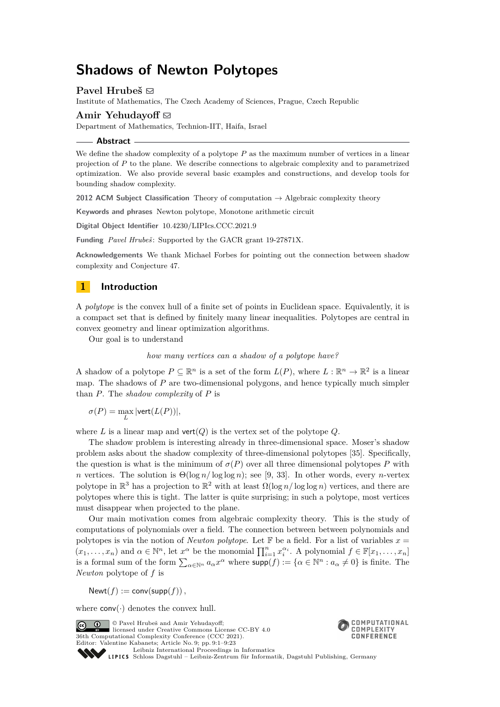# **Shadows of Newton Polytopes**

# Pavel Hrubeš **⊠**

Institute of Mathematics, The Czech Academy of Sciences, Prague, Czech Republic

### Amir Yehudayoff  $\boxtimes$

Department of Mathematics, Technion-IIT, Haifa, Israel

#### **Abstract**

We define the shadow complexity of a polytope P as the maximum number of vertices in a linear projection of *P* to the plane. We describe connections to algebraic complexity and to parametrized optimization. We also provide several basic examples and constructions, and develop tools for bounding shadow complexity.

**2012 ACM Subject Classification** Theory of computation → Algebraic complexity theory

**Keywords and phrases** Newton polytope, Monotone arithmetic circuit

**Digital Object Identifier** [10.4230/LIPIcs.CCC.2021.9](https://doi.org/10.4230/LIPIcs.CCC.2021.9)

**Funding** *Pavel Hrubeš* : Supported by the GACR grant 19-27871X.

**Acknowledgements** We thank Michael Forbes for pointing out the connection between shadow complexity and Conjecture [47.](#page-17-0)

# **1 Introduction**

A *polytope* is the convex hull of a finite set of points in Euclidean space. Equivalently, it is a compact set that is defined by finitely many linear inequalities. Polytopes are central in convex geometry and linear optimization algorithms.

Our goal is to understand

*how many vertices can a shadow of a polytope have?*

A shadow of a polytope  $P \subseteq \mathbb{R}^n$  is a set of the form  $L(P)$ , where  $L : \mathbb{R}^n \to \mathbb{R}^2$  is a linear map. The shadows of *P* are two-dimensional polygons, and hence typically much simpler than *P*. The *shadow complexity* of *P* is

 $\sigma(P) = \max_{L} |\text{vert}(L(P))|,$ 

where  $L$  is a linear map and  $vert(Q)$  is the vertex set of the polytope  $Q$ .

The shadow problem is interesting already in three-dimensional space. Moser's shadow problem asks about the shadow complexity of three-dimensional polytopes [\[35\]](#page-21-0). Specifically, the question is what is the minimum of  $\sigma(P)$  over all three dimensional polytopes P with *n* vertices. The solution is  $\Theta(\log n / \log \log n)$ ; see [\[9,](#page-20-0) [33\]](#page-21-1). In other words, every *n*-vertex polytope in  $\mathbb{R}^3$  has a projection to  $\mathbb{R}^2$  with at least  $\Omega(\log n / \log \log n)$  vertices, and there are polytopes where this is tight. The latter is quite surprising; in such a polytope, most vertices must disappear when projected to the plane.

Our main motivation comes from algebraic complexity theory. This is the study of computations of polynomials over a field. The connection between between polynomials and polytopes is via the notion of *Newton polytope*. Let  $\mathbb F$  be a field. For a list of variables  $x =$  $(x_1, \ldots, x_n)$  and  $\alpha \in \mathbb{N}^n$ , let  $x^{\alpha}$  be the monomial  $\prod_{i=1}^n x_i^{\alpha_i}$ . A polynomial  $f \in \mathbb{F}[x_1, \ldots, x_n]$ is a formal sum of the form  $\sum_{\alpha \in \mathbb{N}^n} a_{\alpha} x^{\alpha}$  where  $\text{supp}(f) := \{ \alpha \in \mathbb{N}^n : a_{\alpha} \neq 0 \}$  is finite. The *Newton* polytope of *f* is

 $Newt(f) := conv(supp(f)),$ 

where  $conv(\cdot)$  denotes the convex hull.

© Pavel Hrubeš and Amir Yehudayoff;  $\boxed{6}$  0 licensed under Creative Commons License CC-BY 4.0 36th Computational Complexity Conference (CCC 2021). Editor: Valentine Kabanets; Article No. 9; pp. 9:1–9:23



[Leibniz International Proceedings in Informatics](https://www.dagstuhl.de/lipics/) Leibniz international Floretungs in missimosische Publishing, Germany<br>LIPICS [Schloss Dagstuhl – Leibniz-Zentrum für Informatik, Dagstuhl Publishing, Germany](https://www.dagstuhl.de)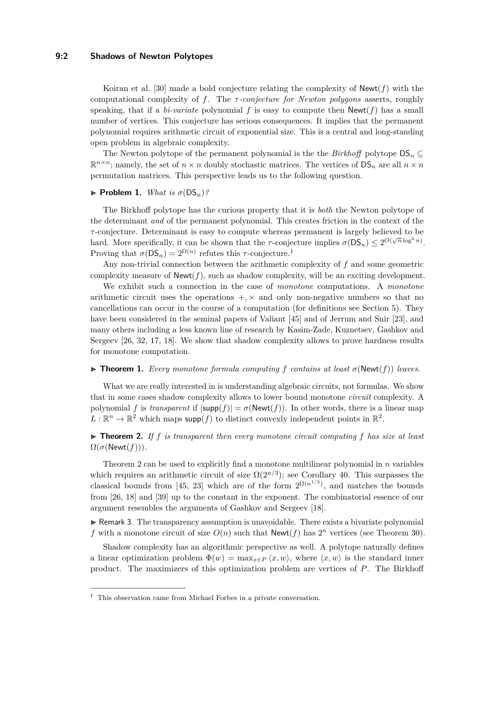### **9:2 Shadows of Newton Polytopes**

Koiran et al. [\[30\]](#page-21-2) made a bold conjecture relating the complexity of Newt(*f*) with the computational complexity of *f*. The *τ -conjecture for Newton polygons* asserts, roughly speaking, that if a *bi-variate* polynomial f is easy to compute then  $Newt(f)$  has a small number of vertices. This conjecture has serious consequences. It implies that the permanent polynomial requires arithmetic circuit of exponential size. This is a central and long-standing open problem in algebraic complexity.

The Newton polytope of the permanent polynomial is the the *Birkhoff* polytope  $DS_n \subseteq$  $\mathbb{R}^{n \times n}$ ; namely, the set of  $n \times n$  doubly stochastic matrices. The vertices of  $DS_n$  are all  $n \times n$ permutation matrices. This perspective leads us to the following question.

#### $\blacktriangleright$  **Problem 1.** *What is*  $\sigma(DS_n)$ ?

The Birkhoff polytope has the curious property that it is *both* the Newton polytope of the determinant *and* of the permanent polynomial. This creates friction in the context of the *τ* -conjecture. Determinant is easy to compute whereas permanent is largely believed to be hard. More specifically, it can be shown that the *τ*-conjecture implies  $\sigma(DS_n) \leq 2^{O(\sqrt{n}\log^2 n)}$ . Proving that  $\sigma(\mathsf{DS}_n) = 2^{\Omega(n)}$  refutes this *τ*-conjecture.<sup>[1](#page-1-0)</sup>

Any non-trivial connection between the arithmetic complexity of *f* and some geometric complexity measure of Newt(*f*), such as shadow complexity, will be an exciting development.

We exhibit such a connection in the case of *monotone* computations. A *monotone* arithmetic circuit uses the operations  $+$ ,  $\times$  and only non-negative numbers so that no cancellations can occur in the course of a computation (for definitions see Section [5\)](#page-12-0). They have been considered in the seminal papers of Valiant [\[45\]](#page-22-0) and of Jerrum and Snir [\[23\]](#page-21-3), and many others including a less known line of research by Kasim-Zade, Kuznetsev, Gashkov and Sergeev [\[26,](#page-21-4) [32,](#page-21-5) [17,](#page-21-6) [18\]](#page-21-7). We show that shadow complexity allows to prove hardness results for monotone computation.

#### <span id="page-1-2"></span> $\triangleright$  **Theorem 1.** Every monotone formula computing f contains at least  $\sigma(\text{Newt}(f))$  leaves.

What we are really interested in is understanding algebraic circuits, not formulas. We show that in some cases shadow complexity allows to lower bound monotone *circuit* complexity. A polynomial *f* is *transparent* if  $|\text{supp}(f)| = \sigma(\text{Newt}(f))$ . In other words, there is a linear map  $L: \mathbb{R}^n \to \mathbb{R}^2$  which maps supp $(f)$  to distinct convexly independent points in  $\mathbb{R}^2$ .

# <span id="page-1-1"></span> $\triangleright$  **Theorem 2.** If  $f$  is transparent then every monotone circuit computing  $f$  has size at least  $\Omega(\sigma(\text{Newt}(f))).$

Theorem [2](#page-1-1) can be used to explicitly find a monotone multilinear polynomial in *n* variables which requires an arithmetic circuit of size  $\Omega(2^{n/3})$ ; see Corollary [40.](#page-15-0) This surpasses the classical bounds from [\[45,](#page-22-0) [23\]](#page-21-3) which are of the form  $2^{\Omega(n^{1/2})}$ , and matches the bounds from [\[26,](#page-21-4) [18\]](#page-21-7) and [\[39\]](#page-22-1) up to the constant in the exponent. The combinatorial essence of our argument resembles the arguments of Gashkov and Sergeev [\[18\]](#page-21-7).

 $\triangleright$  Remark 3. The transparency assumption is unavoidable. There exists a bivariate polynomial f with a monotone circuit of size  $O(n)$  such that  $\mathsf{Newt}(f)$  has  $2^n$  vertices (see Theorem [30\)](#page-12-1).

Shadow complexity has an algorithmic perspective as well. A polytope naturally defines a linear optimization problem  $\Phi(w) = \max_{x \in P} \langle x, w \rangle$ , where  $\langle x, w \rangle$  is the standard inner product. The maximizers of this optimization problem are vertices of *P*. The Birkhoff

<span id="page-1-0"></span> $^{\rm 1}$  This observation came from Michael Forbes in a private conversation.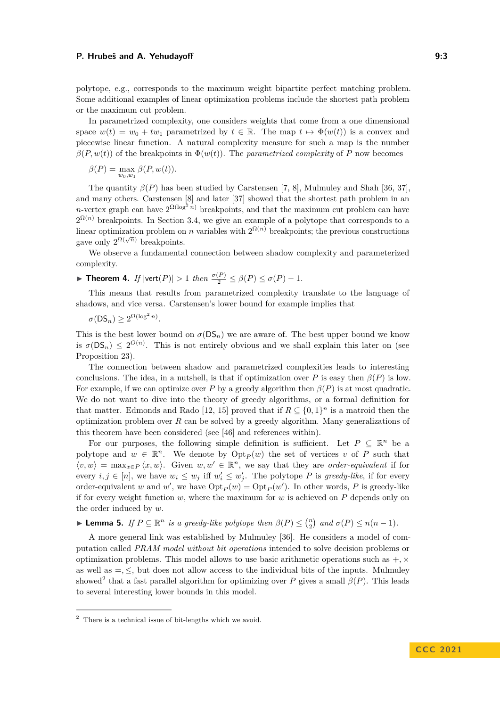polytope, e.g., corresponds to the maximum weight bipartite perfect matching problem. Some additional examples of linear optimization problems include the shortest path problem or the maximum cut problem.

In parametrized complexity, one considers weights that come from a one dimensional space  $w(t) = w_0 + tw_1$  parametrized by  $t \in \mathbb{R}$ . The map  $t \mapsto \Phi(w(t))$  is a convex and piecewise linear function. A natural complexity measure for such a map is the number  $\beta(P, w(t))$  of the breakpoints in  $\Phi(w(t))$ . The *parametrized complexity* of *P* now becomes

$$
\beta(P) = \max_{w_0, w_1} \beta(P, w(t)).
$$

The quantity  $\beta(P)$  has been studied by Carstensen [\[7,](#page-20-1) [8\]](#page-20-2), Mulmuley and Shah [\[36,](#page-22-2) [37\]](#page-22-3), and many others. Carstensen [\[8\]](#page-20-2) and later [\[37\]](#page-22-3) showed that the shortest path problem in an *n*-vertex graph can have  $2^{\Omega(\log^2 n)}$  breakpoints, and that the maximum cut problem can have  $2^{\Omega(n)}$  breakpoints. In Section [3.4,](#page-9-0) we give an example of a polytope that corresponds to a linear optimization problem on *n* variables with  $2^{\Omega(n)}$  breakpoints; the previous constructions gave only  $2^{\Omega(\sqrt{n})}$  breakpoints.

We observe a fundamental connection between shadow complexity and parameterized complexity.

<span id="page-2-1"></span>
$$
\blacktriangleright \textbf{ Theorem 4. } If \, |\text{vert}(P)| > 1 \, then \, \frac{\sigma(P)}{2} \le \beta(P) \le \sigma(P) - 1.
$$

This means that results from parametrized complexity translate to the language of shadows, and vice versa. Carstensen's lower bound for example implies that

 $\sigma(\mathsf{DS}_n) \geq 2^{\Omega(\log^2 n)}$ .

This is the best lower bound on  $\sigma(DS_n)$  we are aware of. The best upper bound we know is  $\sigma(\mathsf{DS}_n) \leq 2^{O(n)}$ . This is not entirely obvious and we shall explain this later on (see Proposition [23\)](#page-9-1).

The connection between shadow and parametrized complexities leads to interesting conclusions. The idea, in a nutshell, is that if optimization over *P* is easy then  $\beta(P)$  is low. For example, if we can optimize over *P* by a greedy algorithm then  $\beta(P)$  is at most quadratic. We do not want to dive into the theory of greedy algorithms, or a formal definition for that matter. Edmonds and Rado [\[12,](#page-21-8) [15\]](#page-21-9) proved that if  $R \subseteq \{0,1\}^n$  is a matroid then the optimization problem over *R* can be solved by a greedy algorithm. Many generalizations of this theorem have been considered (see [\[46\]](#page-22-4) and references within).

For our purposes, the following simple definition is sufficient. Let  $P \subseteq \mathbb{R}^n$  be a polytope and  $w \in \mathbb{R}^n$ . We denote by  $\mathrm{Opt}_P(w)$  the set of vertices *v* of *P* such that  $\langle v, w \rangle = \max_{x \in P} \langle x, w \rangle$ . Given  $w, w' \in \mathbb{R}^n$ , we say that they are *order-equivalent* if for every  $i, j \in [n]$ , we have  $w_i \leq w_j$  iff  $w'_i \leq w'_j$ . The polytope P is greedy-like, if for every order-equivalent *w* and *w'*, we have  $\mathrm{Opt}_P(w) = \mathrm{Opt}_P(w')$ . In other words, *P* is greedy-like if for every weight function  $w$ , where the maximum for  $w$  is achieved on  $P$  depends only on the order induced by *w*.

<span id="page-2-2"></span>▶ **Lemma 5.** *If*  $P \subseteq \mathbb{R}^n$  *is a greedy-like polytope then*  $\beta(P) \leq {n \choose 2}$  *and*  $\sigma(P) \leq n(n-1)$ *.* 

A more general link was established by Mulmuley [\[36\]](#page-22-2). He considers a model of computation called *PRAM model without bit operations* intended to solve decision problems or optimization problems. This model allows to use basic arithmetic operations such as  $+$ ,  $\times$ as well as  $=$ ,  $\leq$ , but does not allow access to the individual bits of the inputs. Mulmuley showed<sup>[2](#page-2-0)</sup> that a fast parallel algorithm for optimizing over *P* gives a small  $\beta(P)$ . This leads to several interesting lower bounds in this model.

<span id="page-2-0"></span><sup>2</sup> There is a technical issue of bit-lengths which we avoid.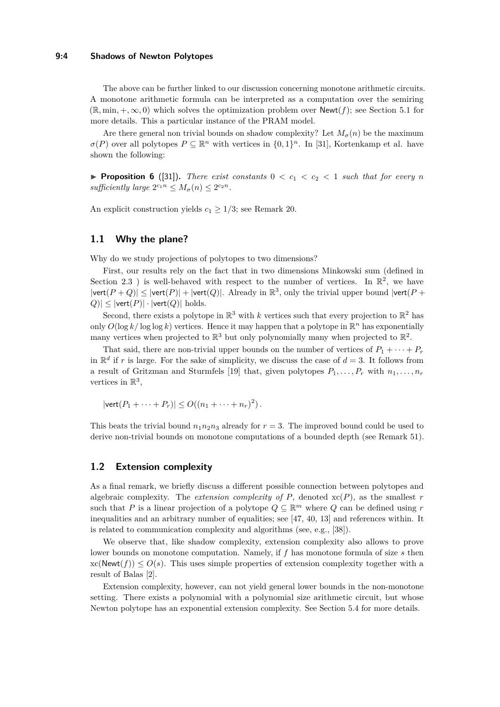#### **9:4 Shadows of Newton Polytopes**

The above can be further linked to our discussion concerning monotone arithmetic circuits. A monotone arithmetic formula can be interpreted as a computation over the semiring  $(\mathbb{R}, \min, +, \infty, 0)$  which solves the optimization problem over  $\text{Newt}(f)$ ; see Section [5.1](#page-12-2) for more details. This a particular instance of the PRAM model.

Are there general non trivial bounds on shadow complexity? Let  $M_{\sigma}(n)$  be the maximum  $\sigma(P)$  over all polytopes  $P \subseteq \mathbb{R}^n$  with vertices in  $\{0,1\}^n$ . In [\[31\]](#page-21-10), Kortenkamp et al. have shown the following:

**• Proposition 6** ([\[31\]](#page-21-10)). There exist constants  $0 < c_1 < c_2 < 1$  such that for every n sufficiently large  $2^{c_1 n} \leq M_\sigma(n) \leq 2^{c_2 n}$ .

An explicit construction yields  $c_1 \geq 1/3$ ; see Remark [20.](#page-9-2)

# <span id="page-3-1"></span>**1.1 Why the plane?**

Why do we study projections of polytopes to two dimensions?

First, our results rely on the fact that in two dimensions Minkowski sum (defined in Section [2.3](#page-5-0) ) is well-behaved with respect to the number of vertices. In  $\mathbb{R}^2$ , we have  $|\text{vert}(P+Q)| \leq |\text{vert}(P)| + |\text{vert}(Q)|$ . Already in  $\mathbb{R}^3$ , only the trivial upper bound  $|\text{vert}(P+Q)|$  $|Q| \leq |\text{vert}(P)| \cdot |\text{vert}(Q)|$  holds.

Second, there exists a polytope in  $\mathbb{R}^3$  with *k* vertices such that every projection to  $\mathbb{R}^2$  has only  $O(\log k / \log \log k)$  vertices. Hence it may happen that a polytope in  $\mathbb{R}^n$  has exponentially many vertices when projected to  $\mathbb{R}^3$  but only polynomially many when projected to  $\mathbb{R}^2$ .

That said, there are non-trivial upper bounds on the number of vertices of  $P_1 + \cdots + P_r$ in  $\mathbb{R}^d$  if *r* is large. For the sake of simplicity, we discuss the case of  $d = 3$ . It follows from a result of Gritzman and Sturmfels [\[19\]](#page-21-11) that, given polytopes  $P_1, \ldots, P_r$  with  $n_1, \ldots, n_r$ vertices in  $\mathbb{R}^3$ ,

$$
|\text{vert}(P_1 + \cdots + P_r)| \le O((n_1 + \cdots + n_r)^2).
$$

This beats the trivial bound  $n_1n_2n_3$  already for  $r = 3$ . The improved bound could be used to derive non-trivial bounds on monotone computations of a bounded depth (see Remark [51\)](#page-18-0).

### <span id="page-3-0"></span>**1.2 Extension complexity**

As a final remark, we briefly discuss a different possible connection between polytopes and algebraic complexity. The *extension complexity of*  $P$ , denoted  $x(P)$ , as the smallest  $r$ such that *P* is a linear projection of a polytope  $Q \subseteq \mathbb{R}^m$  where *Q* can be defined using *r* inequalities and an arbitrary number of equalities; see [\[47,](#page-22-5) [40,](#page-22-6) [13\]](#page-21-12) and references within. It is related to communication complexity and algorithms (see, e.g., [\[38\]](#page-22-7)).

We observe that, like shadow complexity, extension complexity also allows to prove lower bounds on monotone computation. Namely, if *f* has monotone formula of size *s* then  $xc(Newt(f)) \leq O(s)$ . This uses simple properties of extension complexity together with a result of Balas [\[2\]](#page-20-3).

Extension complexity, however, can not yield general lower bounds in the non-monotone setting. There exists a polynomial with a polynomial size arithmetic circuit, but whose Newton polytope has an exponential extension complexity. See Section [5.4](#page-13-0) for more details.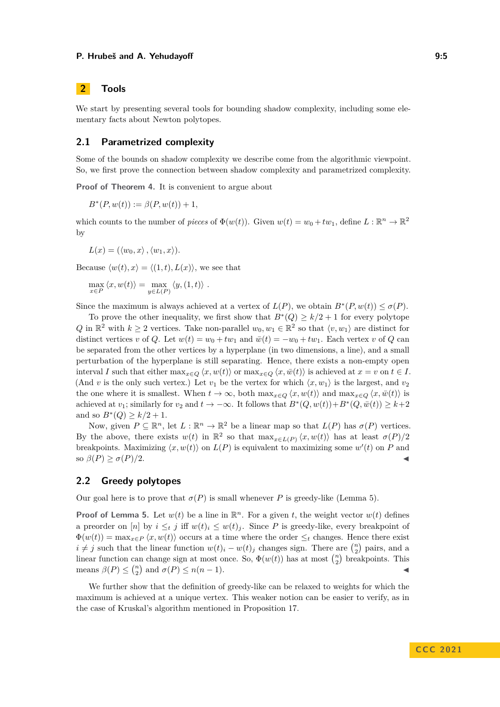#### **P. Hrubeš and A. Yehudayoff 3. All and 2.5** and 2.5 and 3.5

# **2 Tools**

We start by presenting several tools for bounding shadow complexity, including some elementary facts about Newton polytopes.

# **2.1 Parametrized complexity**

Some of the bounds on shadow complexity we describe come from the algorithmic viewpoint. So, we first prove the connection between shadow complexity and parametrized complexity.

**Proof of Theorem [4.](#page-2-1)** It is convenient to argue about

$$
B^*(P, w(t)) := \beta(P, w(t)) + 1,
$$

which counts to the number of *pieces* of  $\Phi(w(t))$ . Given  $w(t) = w_0 + tw_1$ , define  $L : \mathbb{R}^n \to \mathbb{R}^2$ by

$$
L(x) = (\langle w_0, x \rangle, \langle w_1, x \rangle).
$$

Because  $\langle w(t), x \rangle = \langle (1, t), L(x) \rangle$ , we see that

$$
\max_{x \in P} \langle x, w(t) \rangle = \max_{y \in L(P)} \langle y, (1, t) \rangle.
$$

Since the maximum is always achieved at a vertex of  $L(P)$ , we obtain  $B^*(P, w(t)) \leq \sigma(P)$ .

To prove the other inequality, we first show that  $B^*(Q) \geq k/2 + 1$  for every polytope *Q* in  $\mathbb{R}^2$  with *k* ≥ 2 vertices. Take non-parallel  $w_0, w_1 \in \mathbb{R}^2$  so that  $\langle v, w_1 \rangle$  are distinct for distinct vertices *v* of *Q*. Let  $w(t) = w_0 + tw_1$  and  $\bar{w}(t) = -w_0 + tw_1$ . Each vertex *v* of *Q* can be separated from the other vertices by a hyperplane (in two dimensions, a line), and a small perturbation of the hyperplane is still separating. Hence, there exists a non-empty open interval *I* such that either  $\max_{x \in Q} \langle x, w(t) \rangle$  or  $\max_{x \in Q} \langle x, \overline{w}(t) \rangle$  is achieved at  $x = v$  on  $t \in I$ . (And *v* is the only such vertex.) Let  $v_1$  be the vertex for which  $\langle x, w_1 \rangle$  is the largest, and  $v_2$ the one where it is smallest. When  $t \to \infty$ , both  $\max_{x \in Q} \langle x, w(t) \rangle$  and  $\max_{x \in Q} \langle x, \bar{w}(t) \rangle$  is achieved at *v*<sub>1</sub>; similarly for *v*<sub>2</sub> and  $t \to -\infty$ . It follows that  $B^*(Q, w(t)) + B^*(Q, \bar{w}(t)) \geq k+2$ and so  $B^*(Q) \geq k/2 + 1$ .

Now, given  $P \subseteq \mathbb{R}^n$ , let  $L : \mathbb{R}^n \to \mathbb{R}^2$  be a linear map so that  $L(P)$  has  $\sigma(P)$  vertices. By the above, there exists  $w(t)$  in  $\mathbb{R}^2$  so that  $\max_{x \in L(P)} \langle x, w(t) \rangle$  has at least  $\sigma(P)/2$ breakpoints. Maximizing  $\langle x, w(t) \rangle$  on  $L(P)$  is equivalent to maximizing some  $w'(t)$  on P and  $\beta(P)$  ≥  $\sigma(P)/2$ .

# **2.2 Greedy polytopes**

Our goal here is to prove that  $\sigma(P)$  is small whenever P is greedy-like (Lemma [5\)](#page-2-2).

**Proof of Lemma [5.](#page-2-2)** Let  $w(t)$  be a line in  $\mathbb{R}^n$ . For a given *t*, the weight vector  $w(t)$  defines a preorder on [*n*] by  $i \leq_t j$  iff  $w(t)_i \leq w(t)_j$ . Since P is greedy-like, every breakpoint of  $\Phi(w(t)) = \max_{x \in P} \langle x, w(t) \rangle$  occurs at a time where the order  $\leq_t$  changes. Hence there exist *i* ≠ *j* such that the linear function  $w(t)_i - w(t)_j$  changes sign. There are  $\binom{n}{2}$  pairs, and a linear function can change sign at most once. So,  $\Phi(w(t))$  has at most  $\binom{n}{2}$  breakpoints. This means  $\beta(P) \leq {n \choose 2}$  and  $\sigma(P) \leq n(n-1)$ .

<span id="page-4-0"></span>We further show that the definition of greedy-like can be relaxed to weights for which the maximum is achieved at a unique vertex. This weaker notion can be easier to verify, as in the case of Kruskal's algorithm mentioned in Proposition [17.](#page-8-0)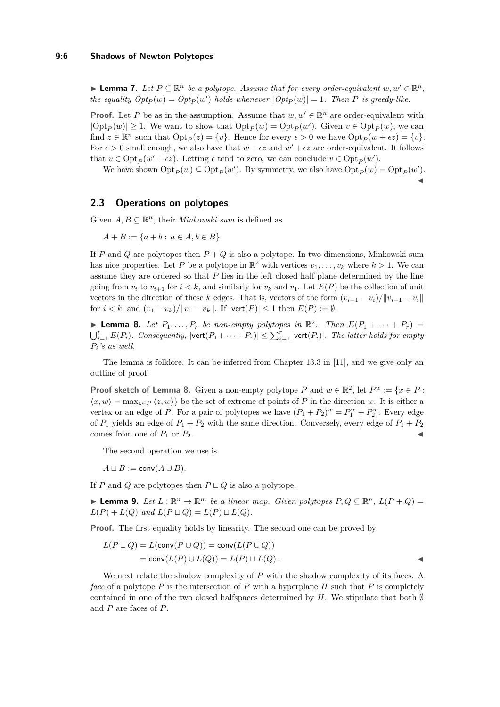▶ **Lemma 7.** Let  $P \subseteq \mathbb{R}^n$  be a polytope. Assume that for every order-equivalent  $w, w' \in \mathbb{R}^n$ , *the equality*  $Opt_P(w) = Opt_P(w')$  *holds whenever*  $|Opt_P(w)| = 1$ . Then *P is greedy-like.* 

**Proof.** Let *P* be as in the assumption. Assume that  $w, w' \in \mathbb{R}^n$  are order-equivalent with  $|\text{Opt}_P(w)| \ge 1$ . We want to show that  $\text{Opt}_P(w) = \text{Opt}_P(w')$ . Given  $v \in \text{Opt}_P(w)$ , we can find  $z \in \mathbb{R}^n$  such that  $\mathrm{Opt}_P(z) = \{v\}$ . Hence for every  $\epsilon > 0$  we have  $\mathrm{Opt}_P(w + \epsilon z) = \{v\}$ . For  $\epsilon > 0$  small enough, we also have that  $w + \epsilon z$  and  $w' + \epsilon z$  are order-equivalent. It follows that  $v \in \text{Opt}_P(w' + \epsilon z)$ . Letting  $\epsilon$  tend to zero, we can conclude  $v \in \text{Opt}_P(w')$ .

We have shown  $\text{Opt}_P(w) \subseteq \text{Opt}_P(w')$ . By symmetry, we also have  $\text{Opt}_P(w) = \text{Opt}_P(w')$ .

◀

### <span id="page-5-0"></span>**2.3 Operations on polytopes**

Given  $A, B \subseteq \mathbb{R}^n$ , their *Minkowski sum* is defined as

 $A + B := \{a + b : a \in A, b \in B\}.$ 

If *P* and *Q* are polytopes then *P* + *Q* is also a polytope. In two-dimensions, Minkowski sum has nice properties. Let P be a polytope in  $\mathbb{R}^2$  with vertices  $v_1, \ldots, v_k$  where  $k > 1$ . We can assume they are ordered so that *P* lies in the left closed half plane determined by the line going from  $v_i$  to  $v_{i+1}$  for  $i < k$ , and similarly for  $v_k$  and  $v_1$ . Let  $E(P)$  be the collection of unit vectors in the direction of these *k* edges. That is, vectors of the form  $(v_{i+1} - v_i)/||v_{i+1} - v_i||$ for  $i < k$ , and  $(v_1 - v_k)/||v_1 - v_k||$ . If  $|\text{vert}(P)| \le 1$  then  $E(P) := \emptyset$ .

<span id="page-5-1"></span>**• Lemma 8.** Let  $P_1, \ldots, P_r$  be non-empty polytopes in  $\mathbb{R}^2$ . Then  $E(P_1 + \cdots + P_r)$  =  $\bigcup_{i=1}^r E(P_i)$ *. Consequently,*  $|\text{vert}(P_1 + \cdots + P_r)| \leq \sum_{i=1}^r |\text{vert}(P_i)|$ *. The latter holds for empty Pi's as well.*

The lemma is folklore. It can be inferred from Chapter 13.3 in [\[11\]](#page-21-13), and we give only an outline of proof.

**Proof sketch of Lemma [8.](#page-5-1)** Given a non-empty polytope *P* and  $w \in \mathbb{R}^2$ , let  $P^w := \{x \in P :$  $\langle x, w \rangle = \max_{z \in P} \langle z, w \rangle$  be the set of extreme of points of P in the direction *w*. It is either a vertex or an edge of *P*. For a pair of polytopes we have  $(P_1 + P_2)^w = P_1^w + P_2^w$ . Every edge of  $P_1$  yields an edge of  $P_1 + P_2$  with the same direction. Conversely, every edge of  $P_1 + P_2$ comes from one of  $P_1$  or  $P_2$ .

The second operation we use is

 $A \sqcup B := \text{conv}(A \cup B)$ .

If *P* and *Q* are polytopes then  $P \sqcup Q$  is also a polytope.

<span id="page-5-2"></span>▶ **Lemma 9.** *Let*  $L : \mathbb{R}^n \to \mathbb{R}^m$  *be a linear map. Given polytopes*  $P, Q \subseteq \mathbb{R}^n$ ,  $L(P + Q) =$  $L(P) + L(Q)$  *and*  $L(P \sqcup Q) = L(P) \sqcup L(Q)$ *.* 

**Proof.** The first equality holds by linearity. The second one can be proved by

$$
L(P \sqcup Q) = L(\text{conv}(P \cup Q)) = \text{conv}(L(P \cup Q))
$$
  
=  $\text{conv}(L(P) \cup L(Q)) = L(P) \sqcup L(Q).$ 

<span id="page-5-3"></span>We next relate the shadow complexity of *P* with the shadow complexity of its faces. A *face* of a polytope *P* is the intersection of *P* with a hyperplane *H* such that *P* is completely contained in one of the two closed halfspaces determined by  $H$ . We stipulate that both  $\emptyset$ and *P* are faces of *P*.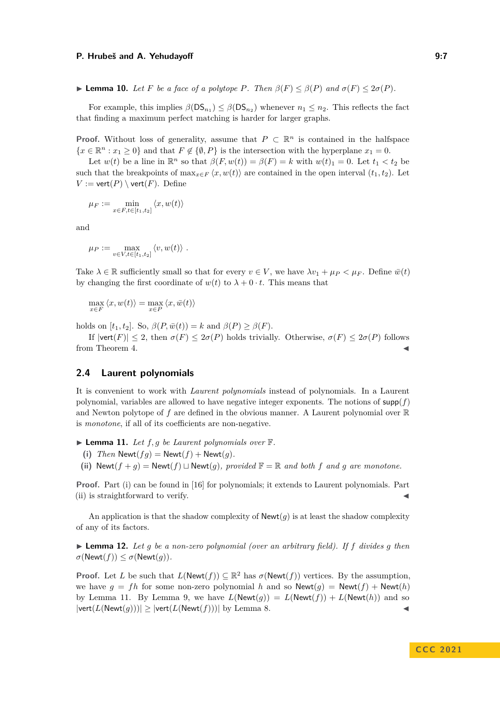▶ **Lemma 10.** Let F be a face of a polytope P. Then  $\beta(F) \leq \beta(P)$  and  $\sigma(F) \leq 2\sigma(P)$ .

For example, this implies  $\beta(DS_{n_1}) \leq \beta(DS_{n_2})$  whenever  $n_1 \leq n_2$ . This reflects the fact that finding a maximum perfect matching is harder for larger graphs.

**Proof.** Without loss of generality, assume that  $P \subset \mathbb{R}^n$  is contained in the halfspace  ${x \in \mathbb{R}^n : x_1 \geq 0}$  and that  $F \notin \{0, P\}$  is the intersection with the hyperplane  $x_1 = 0$ .

Let  $w(t)$  be a line in  $\mathbb{R}^n$  so that  $\beta(F, w(t)) = \beta(F) = k$  with  $w(t)_1 = 0$ . Let  $t_1 < t_2$  be such that the breakpoints of  $\max_{x \in F} \langle x, w(t) \rangle$  are contained in the open interval  $(t_1, t_2)$ . Let  $V := \text{vert}(P) \setminus \text{vert}(F)$ . Define

$$
\mu_F := \min_{x \in F, t \in [t_1, t_2]} \langle x, w(t) \rangle
$$

and

$$
\mu_P := \max_{v \in V, t \in [t_1, t_2]} \langle v, w(t) \rangle.
$$

Take  $\lambda \in \mathbb{R}$  sufficiently small so that for every  $v \in V$ , we have  $\lambda v_1 + \mu_P \leq \mu_F$ . Define  $\bar{w}(t)$ by changing the first coordinate of  $w(t)$  to  $\lambda + 0 \cdot t$ . This means that

$$
\max_{x \in F} \langle x, w(t) \rangle = \max_{x \in P} \langle x, \bar{w}(t) \rangle
$$

holds on  $[t_1, t_2]$ . So,  $\beta(P, \bar{w}(t)) = k$  and  $\beta(P) \ge \beta(F)$ .

If  $|\text{vert}(F)| \leq 2$ , then  $\sigma(F) \leq 2\sigma(P)$  holds trivially. Otherwise,  $\sigma(F) \leq 2\sigma(P)$  follows from Theorem [4.](#page-2-1)

# **2.4 Laurent polynomials**

It is convenient to work with *Laurent polynomials* instead of polynomials. In a Laurent polynomial, variables are allowed to have negative integer exponents. The notions of  $\text{supp}(f)$ and Newton polytope of  $f$  are defined in the obvious manner. A Laurent polynomial over  $\mathbb R$ is *monotone*, if all of its coefficients are non-negative.

<span id="page-6-2"></span> $\blacktriangleright$  **Lemma 11.** Let  $f, g$  be Laurent polynomials over  $\mathbb{F}$ .

- <span id="page-6-0"></span>(i) *Then*  $\text{Newt}(fg) = \text{Newt}(f) + \text{Newt}(g)$ .
- <span id="page-6-1"></span>**(ii)** Newt( $f + q$ ) = Newt( $f$ )  $\sqcup$  Newt( $q$ )*, provided*  $\mathbb{F} = \mathbb{R}$  *and both*  $f$  *and*  $q$  *are monotone.*

**Proof.** Part [\(i\)](#page-6-0) can be found in [\[16\]](#page-21-14) for polynomials; it extends to Laurent polynomials. Part  $(ii)$  is straightforward to verify.

An application is that the shadow complexity of  $\mathsf{Newt}(g)$  is at least the shadow complexity of any of its factors.

<span id="page-6-3"></span> $\blacktriangleright$  **Lemma 12.** Let g be a non-zero polynomial (over an arbitrary field). If f divides g then  $\sigma(\text{Newt}(f)) \leq \sigma(\text{Newt}(g)).$ 

**Proof.** Let *L* be such that  $L(\text{Newt}(f)) \subseteq \mathbb{R}^2$  has  $\sigma(\text{Newt}(f))$  vertices. By the assumption, we have  $q = fh$  for some non-zero polynomial h and so  $\text{Newt}(q) = \text{Newt}(f) + \text{Newt}(h)$ by Lemma [11.](#page-6-2) By Lemma [9,](#page-5-2) we have  $L(\text{Newt}(g)) = L(\text{Newt}(f)) + L(\text{Newt}(h))$  and so  $|\text{vert}(L(\text{Newt}(g)))| \ge |\text{vert}(L(\text{Newt}(f)))|$  by Lemma [8.](#page-5-1)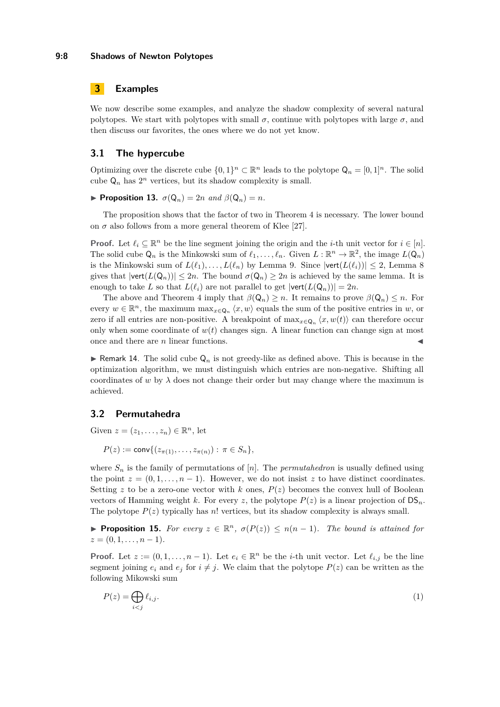# **3 Examples**

We now describe some examples, and analyze the shadow complexity of several natural polytopes. We start with polytopes with small  $\sigma$ , continue with polytopes with large  $\sigma$ , and then discuss our favorites, the ones where we do not yet know.

### **3.1 The hypercube**

Optimizing over the discrete cube  $\{0,1\}^n \subset \mathbb{R}^n$  leads to the polytope  $\mathsf{Q}_n = [0,1]^n$ . The solid cube  $\mathsf{Q}_n$  has  $2^n$  vertices, but its shadow complexity is small.

 $\blacktriangleright$  **Proposition 13.**  $\sigma(Q_n) = 2n$  and  $\beta(Q_n) = n$ .

The proposition shows that the factor of two in Theorem [4](#page-2-1) is necessary. The lower bound on  $\sigma$  also follows from a more general theorem of Klee [\[27\]](#page-21-15).

**Proof.** Let  $\ell_i \subseteq \mathbb{R}^n$  be the line segment joining the origin and the *i*-th unit vector for  $i \in [n]$ . The solid cube  $Q_n$  is the Minkowski sum of  $\ell_1, \ldots, \ell_n$ . Given  $L : \mathbb{R}^n \to \mathbb{R}^2$ , the image  $L(Q_n)$ is the Minkowski sum of  $L(\ell_1), \ldots, L(\ell_n)$  by Lemma [9.](#page-5-2) Since  $|\text{vert}(L(\ell_i))| \leq 2$ , Lemma [8](#page-5-1) gives that  $|\text{vert}(L(Q_n))| \leq 2n$ . The bound  $\sigma(Q_n) \geq 2n$  is achieved by the same lemma. It is enough to take *L* so that  $L(\ell_i)$  are not parallel to get  $|\text{vert}(L(Q_n))| = 2n$ .

The above and Theorem [4](#page-2-1) imply that  $\beta(\mathsf{Q}_n) \geq n$ . It remains to prove  $\beta(\mathsf{Q}_n) \leq n$ . For every  $w \in \mathbb{R}^n$ , the maximum  $\max_{x \in \mathsf{Q}_n} \langle x, w \rangle$  equals the sum of the positive entries in  $w$ , or zero if all entries are non-positive. A breakpoint of  $\max_{x \in \mathsf{Q}_n} \langle x, w(t) \rangle$  can therefore occur only when some coordinate of  $w(t)$  changes sign. A linear function can change sign at most once and there are  $n$  linear functions.

**• Remark 14.** The solid cube  $\mathsf{Q}_n$  is not greedy-like as defined above. This is because in the optimization algorithm, we must distinguish which entries are non-negative. Shifting all coordinates of *w* by  $\lambda$  does not change their order but may change where the maximum is achieved.

# **3.2 Permutahedra**

Given  $z = (z_1, \ldots, z_n) \in \mathbb{R}^n$ , let

$$
P(z) := \text{conv}\{(z_{\pi(1)}, \ldots, z_{\pi(n)}): \pi \in S_n\},\
$$

where  $S_n$  is the family of permutations of  $[n]$ . The *permutahedron* is usually defined using the point  $z = (0, 1, \ldots, n-1)$ . However, we do not insist z to have distinct coordinates. Setting  $z$  to be a zero-one vector with  $k$  ones,  $P(z)$  becomes the convex hull of Boolean vectors of Hamming weight *k*. For every *z*, the polytope  $P(z)$  is a linear projection of  $DS_n$ . The polytope  $P(z)$  typically has *n*! vertices, but its shadow complexity is always small.

<span id="page-7-1"></span>▶ **Proposition 15.** *For every*  $z \in \mathbb{R}^n$ ,  $\sigma(P(z)) \leq n(n-1)$ *. The bound is attained for*  $z = (0, 1, \ldots, n-1)$ .

**Proof.** Let  $z := (0, 1, \ldots, n-1)$ . Let  $e_i \in \mathbb{R}^n$  be the *i*-th unit vector. Let  $\ell_{i,j}$  be the line segment joining  $e_i$  and  $e_j$  for  $i \neq j$ . We claim that the polytope  $P(z)$  can be written as the following Mikowski sum

<span id="page-7-0"></span>
$$
P(z) = \bigoplus_{i < j} \ell_{i,j}.\tag{1}
$$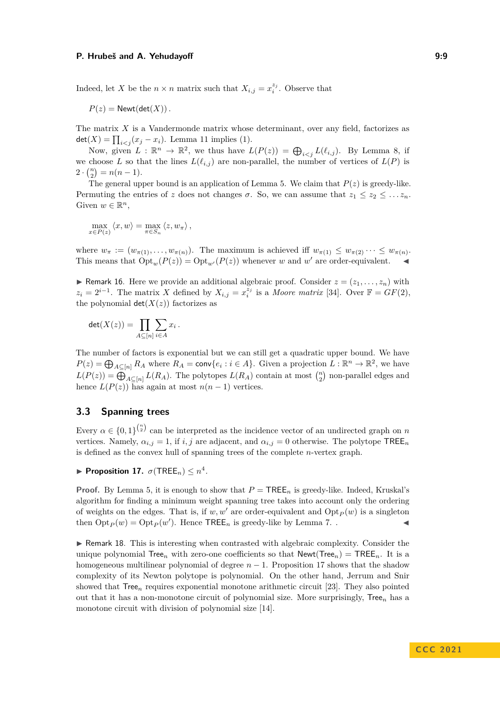Indeed, let *X* be the  $n \times n$  matrix such that  $X_{i,j} = x_i^{z_j}$ . Observe that

 $P(z) = \text{Newt}(\text{det}(X))$ .

The matrix *X* is a Vandermonde matrix whose determinant, over any field, factorizes as  $\det(X) = \prod_{i < j} (x_j - x_i)$ . Lemma [11](#page-6-2) implies [\(1\)](#page-7-0).

Now, given  $L : \mathbb{R}^n \to \mathbb{R}^2$ , we thus have  $L(P(z)) = \bigoplus_{i \leq j} L(\ell_{i,j})$ . By Lemma [8,](#page-5-1) if we choose *L* so that the lines  $L(\ell_{i,j})$  are non-parallel, the number of vertices of  $L(P)$  is  $2 \cdot {n \choose 2} = n(n-1).$ 

The general upper bound is an application of Lemma [5.](#page-2-2) We claim that  $P(z)$  is greedy-like. Permuting the entries of *z* does not changes  $\sigma$ . So, we can assume that  $z_1 \leq z_2 \leq \ldots z_n$ . Given  $w \in \mathbb{R}^n$ ,

$$
\max_{x \in P(z)} \langle x, w \rangle = \max_{\pi \in S_n} \langle z, w_{\pi} \rangle,
$$

where  $w_{\pi} := (w_{\pi(1)}, \ldots, w_{\pi(n)})$ . The maximum is achieved iff  $w_{\pi(1)} \leq w_{\pi(2)} \cdots \leq w_{\pi(n)}$ . This means that  $Opt_w(P(z)) = Opt_{w'}(P(z))$  whenever *w* and *w'* are order-equivalent.

 $\triangleright$  Remark 16. Here we provide an additional algebraic proof. Consider  $z = (z_1, \ldots, z_n)$  with  $z_i = 2^{i-1}$ . The matrix *X* defined by  $X_{i,j} = x_i^{\overline{z}_j}$  is a *Moore matrix* [\[34\]](#page-21-16). Over  $\mathbb{F} = GF(2)$ , the polynomial  $det(X(z))$  factorizes as

$$
\det(X(z)) = \prod_{A \subseteq [n]} \sum_{i \in A} x_i \, .
$$

The number of factors is exponential but we can still get a quadratic upper bound. We have  $P(z) = \bigoplus_{A \subseteq [n]} R_A$  where  $R_A = \text{conv}\{e_i : i \in A\}$ . Given a projection  $L : \mathbb{R}^n \to \mathbb{R}^2$ , we have  $L(P(z)) = \bigoplus_{A \subseteq [n]} L(R_A)$ . The polytopes  $L(R_A)$  contain at most  $\binom{n}{2}$  non-parallel edges and hence  $L(P(z))$  has again at most  $n(n-1)$  vertices.

# <span id="page-8-1"></span>**3.3 Spanning trees**

Every  $\alpha \in \{0,1\}^{\binom{n}{2}}$  can be interpreted as the incidence vector of an undirected graph on *n* vertices. Namely,  $\alpha_{i,j} = 1$ , if *i, j* are adjacent, and  $\alpha_{i,j} = 0$  otherwise. The polytope TREE<sub>n</sub> is defined as the convex hull of spanning trees of the complete *n*-vertex graph.

<span id="page-8-0"></span> $\blacktriangleright$  **Proposition 17.**  $\sigma(\text{TREE}_n) \leq n^4$ .

**Proof.** By Lemma [5,](#page-2-2) it is enough to show that  $P = \text{TREE}_n$  is greedy-like. Indeed, Kruskal's algorithm for finding a minimum weight spanning tree takes into account only the ordering of weights on the edges. That is, if  $w, w'$  are order-equivalent and  $\mathrm{Opt}_P(w)$  is a singleton then  $\mathrm{Opt}_P(w) = \mathrm{Opt}_P(w')$ . Hence  $\mathsf{TREE}_n$  is greedy-like by Lemma [7.](#page-4-0) .

▶ Remark 18. This is interesting when contrasted with algebraic complexity. Consider the unique polynomial Tree<sub>n</sub> with zero-one coefficients so that  $\mathsf{Newt}(\mathsf{Tree}_n) = \mathsf{TREE}_n$ . It is a homogeneous multilinear polynomial of degree  $n-1$ . Proposition [17](#page-8-0) shows that the shadow complexity of its Newton polytope is polynomial. On the other hand, Jerrum and Snir showed that Tree*<sup>n</sup>* requires exponential monotone arithmetic circuit [\[23\]](#page-21-3). They also pointed out that it has a non-monotone circuit of polynomial size. More surprisingly, Tree*<sup>n</sup>* has a monotone circuit with division of polynomial size [\[14\]](#page-21-17).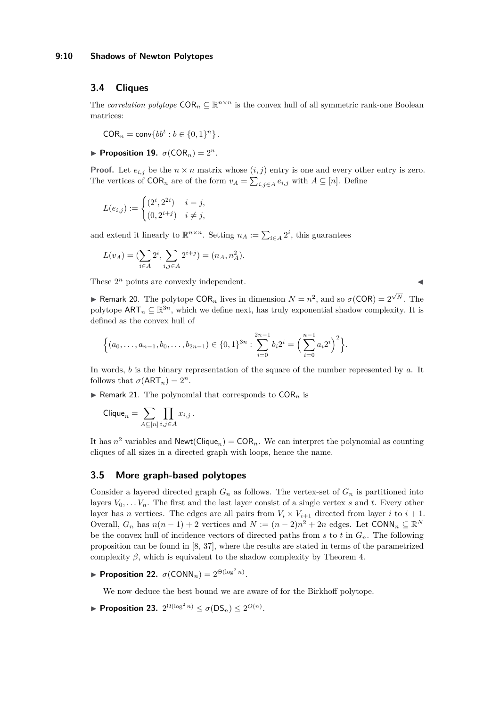### <span id="page-9-0"></span>**3.4 Cliques**

The *correlation polytope*  $COR_n \subseteq \mathbb{R}^{n \times n}$  is the convex hull of all symmetric rank-one Boolean matrices:

 $COR_n = \text{conv} \{ bb^t : b \in \{0, 1\}^n \}.$ 

<span id="page-9-4"></span>**Proposition 19.**  $\sigma$ (COR<sub>n</sub>) =  $2^n$ .

**Proof.** Let  $e_{i,j}$  be the  $n \times n$  matrix whose  $(i, j)$  entry is one and every other entry is zero. The vertices of  $COR_n$  are of the form  $v_A = \sum_{i,j \in A} e_{i,j}$  with  $A \subseteq [n]$ . Define

$$
L(e_{i,j}) := \begin{cases} (2^i, 2^{2i}) & i = j, \\ (0, 2^{i+j}) & i \neq j, \end{cases}
$$

and extend it linearly to  $\mathbb{R}^{n \times n}$ . Setting  $n_A := \sum_{i \in A} 2^i$ , this guarantees

$$
L(v_A) = (\sum_{i \in A} 2^i, \sum_{i,j \in A} 2^{i+j}) = (n_A, n_A^2).
$$

These  $2^n$  points are convexly independent.

<span id="page-9-2"></span>**► Remark 20.** The polytope COR<sub>*n*</sub> lives in dimension  $N = n^2$ , and so  $\sigma$ (COR) =  $2^{\sqrt{N}}$ . The polytope  $\mathsf{ART}_n \subseteq \mathbb{R}^{3n}$ , which we define next, has truly exponential shadow complexity. It is defined as the convex hull of

$$
\Big\{(a_0,\ldots,a_{n-1},b_0,\ldots,b_{2n-1})\in\{0,1\}^{3n}:\sum_{i=0}^{2n-1}b_i2^i=\Big(\sum_{i=0}^{n-1}a_i2^i\Big)^2\Big\}.
$$

In words, *b* is the binary representation of the square of the number represented by *a*. It follows that  $\sigma(\text{ART}_n) = 2^n$ .

<span id="page-9-3"></span> $\triangleright$  Remark 21. The polynomial that corresponds to  $COR_n$  is

$$
\mathsf{Clique}_n = \sum_{A \subseteq [n]} \prod_{i,j \in A} x_{i,j} \, .
$$

It has  $n^2$  variables and  $\mathsf{Newt}(\mathsf{Clique}_n) = \mathsf{COR}_n$ . We can interpret the polynomial as counting cliques of all sizes in a directed graph with loops, hence the name.

### **3.5 More graph-based polytopes**

Consider a layered directed graph  $G_n$  as follows. The vertex-set of  $G_n$  is partitioned into layers  $V_0, \ldots V_n$ . The first and the last layer consist of a single vertex *s* and *t*. Every other layer has *n* vertices. The edges are all pairs from  $V_i \times V_{i+1}$  directed from layer *i* to  $i+1$ . Overall,  $G_n$  has  $n(n-1) + 2$  vertices and  $N := (n-2)n^2 + 2n$  edges. Let CONN<sub>n</sub>  $\subseteq \mathbb{R}^N$ be the convex hull of incidence vectors of directed paths from *s* to *t* in *Gn*. The following proposition can be found in [\[8,](#page-20-2) [37\]](#page-22-3), where the results are stated in terms of the parametrized complexity  $\beta$ , which is equivalent to the shadow complexity by Theorem [4.](#page-2-1)

▶ **Proposition 22.**  $\sigma$ (CONN<sub>*n*</sub>) =  $2^{\Theta(\log^2 n)}$ .

We now deduce the best bound we are aware of for the Birkhoff polytope.

<span id="page-9-1"></span>▶ Proposition 23.  $2^{\Omega(\log^2 n)} \le \sigma(\mathsf{DS}_n) \le 2^{O(n)}.$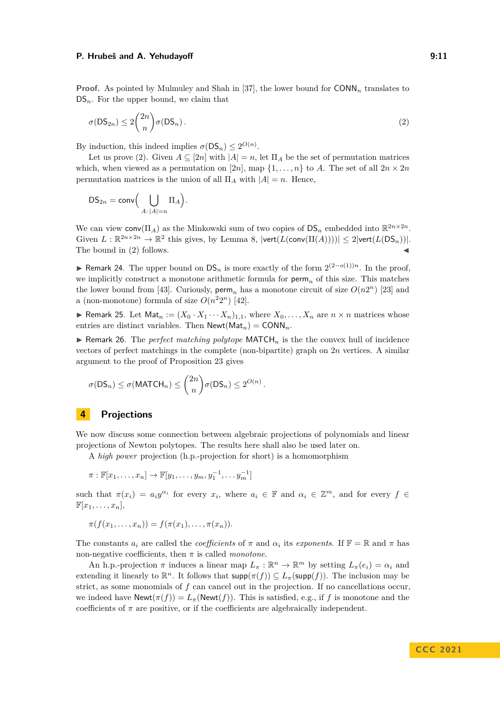#### **P. Hrubeš and A. Yehudayoff 3:23 and A. Algebra 10:33 and 9:11**

**Proof.** As pointed by Mulmuley and Shah in [\[37\]](#page-22-3), the lower bound for CONN*<sup>n</sup>* translates to  $DS_n$ . For the upper bound, we claim that

<span id="page-10-0"></span>
$$
\sigma(\mathsf{DS}_{2n}) \le 2\binom{2n}{n}\sigma(\mathsf{DS}_n). \tag{2}
$$

By induction, this indeed implies  $\sigma(DS_n) \leq 2^{O(n)}$ .

Let us prove [\(2\)](#page-10-0). Given  $A \subseteq [2n]$  with  $|A| = n$ , let  $\Pi_A$  be the set of permutation matrices which, when viewed as a permutation on  $[2n]$ , map  $\{1, \ldots, n\}$  to *A*. The set of all  $2n \times 2n$ permutation matrices is the union of all  $\Pi_A$  with  $|A| = n$ . Hence,

$$
\mathsf{DS}_{2n} = \mathsf{conv}\Big(\bigcup_{A:\,|A|=n} \Pi_A\Big).
$$

We can view  $\text{conv}(\Pi_A)$  as the Minkowski sum of two copies of  $DS_n$  embedded into  $\mathbb{R}^{2n \times 2n}$ . Given  $L : \mathbb{R}^{2n \times 2n} \to \mathbb{R}^2$  this gives, by Lemma [8,](#page-5-1)  $|\text{vert}(L(\text{conv}(\Pi(A))))| \leq 2|\text{vert}(L(\text{DS}_n))|$ . The bound in  $(2)$  follows.

▶ Remark 24. The upper bound on DS*<sup>n</sup>* is more exactly of the form 2 (2−*o*(1))*n*. In the proof, we implicitly construct a monotone arithmetic formula for perm*<sup>n</sup>* of this size. This matches the lower bound from [\[43\]](#page-22-8). Curiously,  $\text{perm}_n$  has a monotone circuit of size  $O(n2^n)$  [\[23\]](#page-21-3) and a (non-monotone) formula of size  $O(n^22^n)$  [\[42\]](#page-22-9).

<span id="page-10-1"></span>**• Remark 25.** Let  $\text{Mat}_n := (X_0 \cdot X_1 \cdots X_n)_{1,1}$ , where  $X_0, \ldots, X_n$  are  $n \times n$  matrices whose entries are distinct variables. Then  $\mathsf{Newt}(\mathsf{Mat}_n) = \mathsf{CONN}_n$ .

<span id="page-10-2"></span> $\blacktriangleright$  Remark 26. The *perfect matching polytope* MATCH<sub>n</sub> is the the convex hull of incidence vectors of perfect matchings in the complete (non-bipartite) graph on 2*n* vertices. A similar argument to the proof of Proposition [23](#page-9-1) gives

$$
\sigma(\mathsf{DS}_n) \leq \sigma(\mathsf{MATCH}_n) \leq \binom{2n}{n} \sigma(\mathsf{DS}_n) \leq 2^{O(n)}.
$$

# **4 Projections**

We now discuss some connection between algebraic projections of polynomials and linear projections of Newton polytopes. The results here shall also be used later on.

A *high power* projection (h.p.-projection for short) is a homomorphism

 $\pi : \mathbb{F}[x_1, \ldots, x_n] \to \mathbb{F}[y_1, \ldots, y_m, y_1^{-1}, \ldots, y_m^{-1}]$ 

such that  $\pi(x_i) = a_i y^{\alpha_i}$  for every  $x_i$ , where  $a_i \in \mathbb{F}$  and  $\alpha_i \in \mathbb{Z}^m$ , and for every  $f \in$  $\mathbb{F}[x_1,\ldots,x_n],$ 

$$
\pi(f(x_1,\ldots,x_n))=f(\pi(x_1),\ldots,\pi(x_n)).
$$

The constants  $a_i$  are called the *coefficients* of  $\pi$  and  $\alpha_i$  its *exponents*. If  $\mathbb{F} = \mathbb{R}$  and  $\pi$  has non-negative coefficients, then *π* is called *monotone*.

An h.p.-projection  $\pi$  induces a linear map  $L_{\pi}: \mathbb{R}^n \to \mathbb{R}^m$  by setting  $L_{\pi}(e_i) = \alpha_i$  and extending it linearly to  $\mathbb{R}^n$ . It follows that  $\text{supp}(\pi(f)) \subseteq L_\pi(\text{supp}(f))$ . The inclusion may be strict, as some monomials of *f* can cancel out in the projection. If no cancellations occur, we indeed have  $\text{Newt}(\pi(f)) = L_{\pi}(\text{Newt}(f)).$  This is satisfied, e.g., if *f* is monotone and the coefficients of  $\pi$  are positive, or if the coefficients are algebraically independent.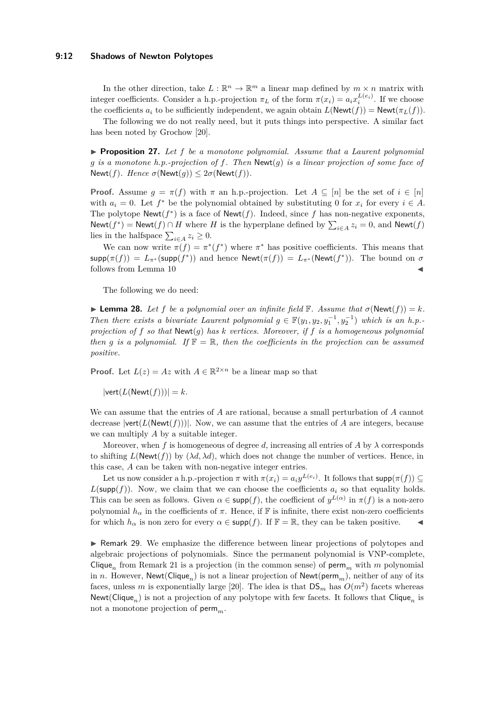#### **9:12 Shadows of Newton Polytopes**

In the other direction, take  $L : \mathbb{R}^n \to \mathbb{R}^m$  a linear map defined by  $m \times n$  matrix with integer coefficients. Consider a h.p.-projection  $\pi_L$  of the form  $\pi(x_i) = a_i x_i^{L(e_i)}$ . If we choose the coefficients  $a_i$  to be sufficiently independent, we again obtain  $L(\text{Newt}(f)) = \text{Newt}(\pi_L(f)).$ 

The following we do not really need, but it puts things into perspective. A similar fact has been noted by Grochow [\[20\]](#page-21-18).

▶ **Proposition 27.** *Let f be a monotone polynomial. Assume that a Laurent polynomial g is a monotone h.p.-projection of f. Then* Newt(*g*) *is a linear projection of some face of*  $\text{Newt}(f)$ *. Hence*  $\sigma(\text{Newt}(q)) \leq 2\sigma(\text{Newt}(f))$ *.* 

**Proof.** Assume  $g = \pi(f)$  with  $\pi$  an h.p.-projection. Let  $A \subseteq [n]$  be the set of  $i \in [n]$ with  $a_i = 0$ . Let  $f^*$  be the polynomial obtained by substituting 0 for  $x_i$  for every  $i \in A$ . The polytope  $\textsf{Newt}(f^*)$  is a face of  $\textsf{Newt}(f)$ . Indeed, since f has non-negative exponents, Newt( $f^*$ ) = Newt( $f$ ) ∩ *H* where *H* is the hyperplane defined by  $\sum_{i \in A} z_i = 0$ , and Newt( $f$ ) lies in the halfspace  $\sum_{i \in A} z_i \geq 0$ .

We can now write  $\pi(f) = \pi^*(f^*)$  where  $\pi^*$  has positive coefficients. This means that supp $(\pi(f)) = L_{\pi^*}(\text{supp}(f^*))$  and hence  $\text{Newt}(\pi(f)) = L_{\pi^*}(\text{Newt}(f^*))$ . The bound on  $\sigma$ follows from Lemma  $10$ 

The following we do need:

<span id="page-11-0"></span> $\blacktriangleright$  **Lemma 28.** Let *f* be a polynomial over an infinite field  $\mathbb{F}$ *. Assume that*  $\sigma(\text{Newt}(f)) = k$ *. Then there exists a bivariate Laurent polynomial*  $g \in \mathbb{F}(y_1, y_2, y_1^{-1}, y_2^{-1})$  *which is an h.p.projection of f so that* Newt(*g*) *has k vertices. Moreover, if f is a homogeneous polynomial then g is a polynomial.* If  $\mathbb{F} = \mathbb{R}$ , *then the coefficients in the projection can be assumed positive.*

**Proof.** Let  $L(z) = Az$  with  $A \in \mathbb{R}^{2 \times n}$  be a linear map so that

 $|\text{vert}(L(\text{Newt}(f)))|=k.$ 

We can assume that the entries of *A* are rational, because a small perturbation of *A* cannot decrease  $|\text{vert}(L(\text{Newt}(f)))|$ . Now, we can assume that the entries of *A* are integers, because we can multiply *A* by a suitable integer.

Moreover, when f is homogeneous of degree d, increasing all entries of A by  $\lambda$  corresponds to shifting  $L(\text{Newt}(f))$  by  $(\lambda d, \lambda d)$ , which does not change the number of vertices. Hence, in this case, *A* can be taken with non-negative integer entries.

Let us now consider a h.p.-projection  $\pi$  with  $\pi(x_i) = a_i y^{L(e_i)}$ . It follows that  $\text{supp}(\pi(f)) \subseteq$  $L(\text{supp}(f))$ . Now, we claim that we can choose the coefficients  $a_i$  so that equality holds. This can be seen as follows. Given  $\alpha \in \text{supp}(f)$ , the coefficient of  $y^{L(\alpha)}$  in  $\pi(f)$  is a non-zero polynomial  $h_\alpha$  in the coefficients of  $\pi$ . Hence, if F is infinite, there exist non-zero coefficients for which  $h_\alpha$  is non zero for every  $\alpha \in \text{supp}(f)$ . If  $\mathbb{F} = \mathbb{R}$ , they can be taken positive.

▶ Remark 29. We emphasize the difference between linear projections of polytopes and algebraic projections of polynomials. Since the permanent polynomial is VNP-complete, Clique<sub>n</sub> from Remark [21](#page-9-3) is a projection (in the common sense) of  $\text{perm}_m$  with m polynomial in *n*. However,  $\mathsf{Newt}(\mathsf{Clique}_n)$  is not a linear projection of  $\mathsf{Newt}(\mathsf{perm}_m)$ , neither of any of its faces, unless *m* is exponentially large [\[20\]](#page-21-18). The idea is that  $DS_m$  has  $O(m^2)$  facets whereas Newt(Clique*n*) is not a projection of any polytope with few facets. It follows that Clique*<sup>n</sup>* is not a monotone projection of perm*m*.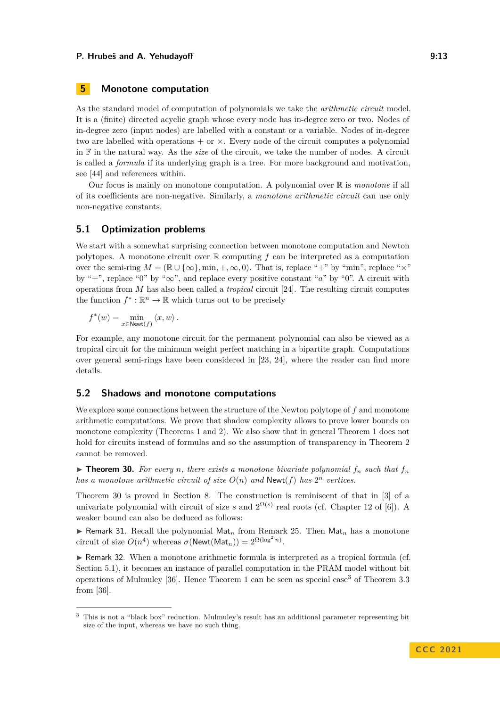# <span id="page-12-0"></span>**5 Monotone computation**

As the standard model of computation of polynomials we take the *arithmetic circuit* model. It is a (finite) directed acyclic graph whose every node has in-degree zero or two. Nodes of in-degree zero (input nodes) are labelled with a constant or a variable. Nodes of in-degree two are labelled with operations  $+$  or  $\times$ . Every node of the circuit computes a polynomial in F in the natural way. As the *size* of the circuit, we take the number of nodes. A circuit is called a *formula* if its underlying graph is a tree. For more background and motivation, see [\[44\]](#page-22-10) and references within.

Our focus is mainly on monotone computation. A polynomial over R is *monotone* if all of its coefficients are non-negative. Similarly, a *monotone arithmetic circuit* can use only non-negative constants.

### <span id="page-12-2"></span>**5.1 Optimization problems**

We start with a somewhat surprising connection between monotone computation and Newton polytopes. A monotone circuit over R computing *f* can be interpreted as a computation over the semi-ring  $M = (\mathbb{R} \cup {\infty}, \min, +, \infty, 0)$ . That is, replace "+" by "min", replace "×" by "+", replace "0" by "∞", and replace every positive constant "*a*" by "0". A circuit with operations from *M* has also been called a *tropical* circuit [\[24\]](#page-21-19). The resulting circuit computes the function  $f^* : \mathbb{R}^n \to \mathbb{R}$  which turns out to be precisely

 $f^*(w) = \min_{x \in \text{Newt}(f)} \langle x, w \rangle$ .

For example, any monotone circuit for the permanent polynomial can also be viewed as a tropical circuit for the minimum weight perfect matching in a bipartite graph. Computations over general semi-rings have been considered in [\[23,](#page-21-3) [24\]](#page-21-19), where the reader can find more details.

### **5.2 Shadows and monotone computations**

We explore some connections between the structure of the Newton polytope of *f* and monotone arithmetic computations. We prove that shadow complexity allows to prove lower bounds on monotone complexity (Theorems [1](#page-1-2) and [2\)](#page-1-1). We also show that in general Theorem [1](#page-1-2) does not hold for circuits instead of formulas and so the assumption of transparency in Theorem [2](#page-1-1) cannot be removed.

<span id="page-12-1"></span> $\triangleright$  **Theorem 30.** For every *n*, there exists a monotone bivariate polynomial  $f_n$  such that  $f_n$ *has a monotone arithmetic circuit of size*  $O(n)$  *and* **Newt**(*f*) *has*  $2^n$  *vertices.* 

Theorem [30](#page-12-1) is proved in Section [8.](#page-18-1) The construction is reminiscent of that in [\[3\]](#page-20-4) of a univariate polynomial with circuit of size *s* and  $2^{\Omega(s)}$  real roots (cf. Chapter 12 of [\[6\]](#page-20-5)). A weaker bound can also be deduced as follows:

▶ Remark 31. Recall the polynomial  $Mat_n$  from Remark [25.](#page-10-1) Then  $Mat_n$  has a monotone circuit of size  $O(n^4)$  whereas  $\sigma(\text{Newt}(\text{Mat}_n)) = 2^{\Omega(\log^2 n)}$ .

▶ Remark 32. When a monotone arithmetic formula is interpreted as a tropical formula (cf. Section [5.1\)](#page-12-2), it becomes an instance of parallel computation in the PRAM model without bit operations of Mulmuley [\[36\]](#page-22-2). Hence Theorem [1](#page-1-2) can be seen as special case<sup>[3](#page-12-3)</sup> of Theorem 3.3 from [\[36\]](#page-22-2).

<span id="page-12-3"></span><sup>&</sup>lt;sup>3</sup> This is not a "black box" reduction. Mulmuley's result has an additional parameter representing bit size of the input, whereas we have no such thing.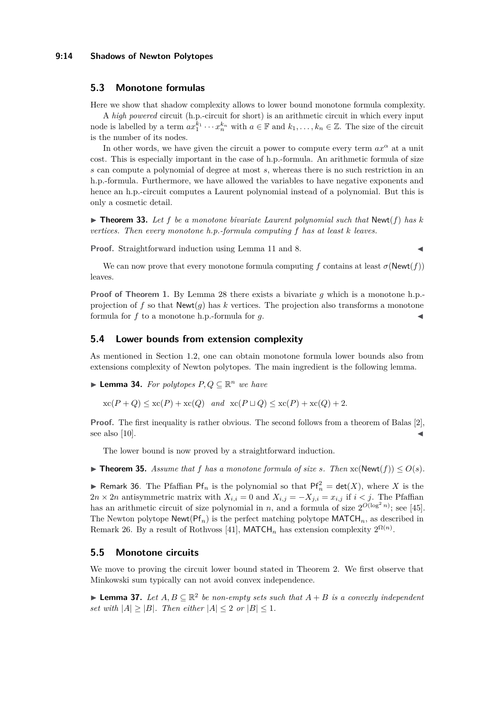#### **9:14 Shadows of Newton Polytopes**

### **5.3 Monotone formulas**

Here we show that shadow complexity allows to lower bound monotone formula complexity.

A *high powered* circuit (h.p.-circuit for short) is an arithmetic circuit in which every input node is labelled by a term  $ax_1^{k_1} \cdots x_n^{k_n}$  with  $a \in \mathbb{F}$  and  $k_1, \ldots, k_n \in \mathbb{Z}$ . The size of the circuit is the number of its nodes.

In other words, we have given the circuit a power to compute every term  $ax^{\alpha}$  at a unit cost. This is especially important in the case of h.p.-formula. An arithmetic formula of size *s* can compute a polynomial of degree at most *s*, whereas there is no such restriction in an h.p.-formula. Furthermore, we have allowed the variables to have negative exponents and hence an h.p.-circuit computes a Laurent polynomial instead of a polynomial. But this is only a cosmetic detail.

<span id="page-13-2"></span> $\triangleright$  **Theorem 33.** Let f be a monotone bivariate Laurent polynomial such that Newt(f) has k *vertices. Then every monotone h.p.-formula computing f has at least k leaves.*

**Proof.** Straightforward induction using Lemma [11](#page-6-2) and [8.](#page-5-1)

We can now prove that every monotone formula computing f contains at least  $\sigma(\text{Newt}(f))$ leaves.

**Proof of Theorem [1.](#page-1-2)** By Lemma [28](#page-11-0) there exists a bivariate q which is a monotone h.p. projection of f so that  $\text{Newt}(q)$  has k vertices. The projection also transforms a monotone formula for  $f$  to a monotone h.p.-formula for  $g$ .

### <span id="page-13-0"></span>**5.4 Lower bounds from extension complexity**

As mentioned in Section [1.2,](#page-3-0) one can obtain monotone formula lower bounds also from extensions complexity of Newton polytopes. The main ingredient is the following lemma.

▶ **Lemma 34.** *For polytopes*  $P, Q \subseteq \mathbb{R}^n$  *we have* 

 $\operatorname{xc}(P+Q) \leq \operatorname{xc}(P) + \operatorname{xc}(Q)$  *and*  $\operatorname{xc}(P \sqcup Q) \leq \operatorname{xc}(P) + \operatorname{xc}(Q) + 2$ .

**Proof.** The first inequality is rather obvious. The second follows from a theorem of Balas [\[2\]](#page-20-3), see also  $[10]$ .

The lower bound is now proved by a straightforward induction.

▶ **Theorem 35.** Assume that f has a monotone formula of size *s*. Then  $\operatorname{xc}(\text{Newt}(f)) \leq O(s)$ .

<span id="page-13-3"></span>▶ Remark 36. The Pfaffian  $Pf_n$  is the polynomial so that  $Pf_n^2 = det(X)$ , where *X* is the  $2n \times 2n$  antisymmetric matrix with  $X_{i,i} = 0$  and  $X_{i,j} = -X_{j,i} = x_{i,j}$  if  $i < j$ . The Pfaffian has an arithmetic circuit of size polynomial in *n*, and a formula of size  $2^{O(\log^2 n)}$ ; see [\[45\]](#page-22-0). The Newton polytope  $\mathsf{Newt}(\mathsf{Pf}_n)$  is the perfect matching polytope  $\mathsf{MATCH}_n$ , as described in Remark [26.](#page-10-2) By a result of Rothvoss [\[41\]](#page-22-11), MATCH<sub>n</sub> has extension complexity  $2^{\Omega(n)}$ .

# **5.5 Monotone circuits**

We move to proving the circuit lower bound stated in Theorem [2.](#page-1-1) We first observe that Minkowski sum typically can not avoid convex independence.

<span id="page-13-1"></span>▶ **Lemma 37.** Let  $A, B \subseteq \mathbb{R}^2$  be non-empty sets such that  $A + B$  is a convexly independent *set with*  $|A| \geq |B|$ *. Then either*  $|A| \leq 2$  *or*  $|B| \leq 1$ *.*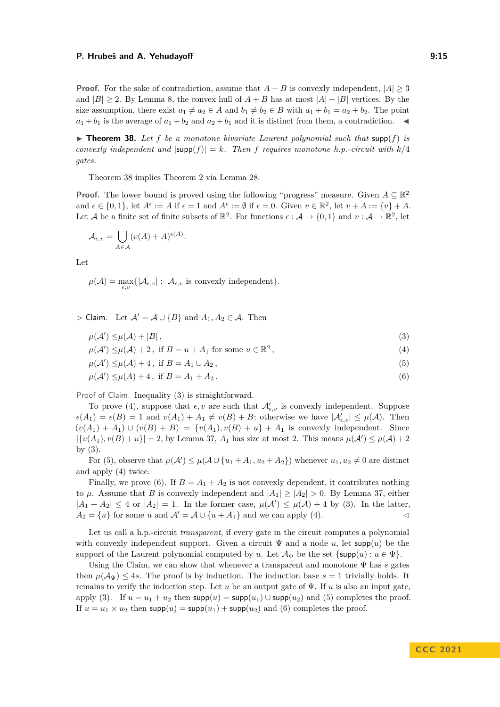**Proof.** For the sake of contradiction, assume that  $A + B$  is convexly independent,  $|A| > 3$ and  $|B| \ge 2$ . By Lemma [8,](#page-5-1) the convex hull of  $A + B$  has at most  $|A| + |B|$  vertices. By the size assumption, there exist  $a_1 \neq a_2 \in A$  and  $b_1 \neq b_2 \in B$  with  $a_1 + b_1 = a_2 + b_2$ . The point  $a_1 + b_1$  is the average of  $a_1 + b_2$  and  $a_2 + b_1$  and it is distinct from them, a contradiction.  $\blacktriangleleft$ 

<span id="page-14-0"></span> $\triangleright$  **Theorem 38.** Let f be a monotone bivariate Laurent polynomial such that supp(f) is *convexly independent and*  $|\text{supp}(f)| = k$ *. Then f* requires monotone h.p.-circuit with  $k/4$ *gates.*

Theorem [38](#page-14-0) implies Theorem [2](#page-1-1) via Lemma [28.](#page-11-0)

**Proof.** The lower bound is proved using the following "progress" measure. Given  $A \subseteq \mathbb{R}^2$ and  $\epsilon \in \{0,1\}$ , let  $A^{\epsilon} := A$  if  $\epsilon = 1$  and  $A^{\epsilon} := \emptyset$  if  $\epsilon = 0$ . Given  $v \in \mathbb{R}^2$ , let  $v + A := \{v\} + A$ . Let A be a finite set of finite subsets of  $\mathbb{R}^2$ . For functions  $\epsilon : \mathcal{A} \to \{0,1\}$  and  $v : \mathcal{A} \to \mathbb{R}^2$ , let

$$
\mathcal{A}_{\epsilon,v} = \bigcup_{A \in \mathcal{A}} (v(A) + A)^{\epsilon(A)}.
$$

Let

 $\mu(\mathcal{A}) = \max_{\epsilon,v} \{|\mathcal{A}_{\epsilon,v}| : \mathcal{A}_{\epsilon,v} \text{ is convexly independent}\}.$ 

▷ Claim. Let A′ = A ∪ {*B*} and *A*1*, A*<sup>2</sup> ∈ A. Then

<span id="page-14-1"></span>
$$
\mu(\mathcal{A}') \le \mu(\mathcal{A}) + |B| \,,\tag{3}
$$

$$
\mu(\mathcal{A}') \le \mu(\mathcal{A}) + 2, \text{ if } B = u + A_1 \text{ for some } u \in \mathbb{R}^2,
$$
\n
$$
(4)
$$

<span id="page-14-4"></span><span id="page-14-3"></span><span id="page-14-2"></span>
$$
\mu(\mathcal{A}') \le \mu(\mathcal{A}) + 4, \text{ if } B = A_1 \cup A_2,
$$
\n<sup>(5)</sup>

$$
\mu(\mathcal{A}') \le \mu(A) + 4, \text{ if } B = A_1 + A_2. \tag{6}
$$

Proof of Claim. Inequality [\(3\)](#page-14-1) is straightforward.

To prove [\(4\)](#page-14-2), suppose that  $\epsilon, v$  are such that  $\mathcal{A}'_{\epsilon,v}$  is convexly independent. Suppose  $\epsilon(A_1) = \epsilon(B) = 1$  and  $v(A_1) + A_1 \neq v(B) + B$ ; otherwise we have  $|\mathcal{A}'_{\epsilon,v}| \leq \mu(\mathcal{A})$ . Then  $(v(A_1) + A_1) \cup (v(B) + B) = \{v(A_1), v(B) + u\} + A_1$  is convexly independent. Since  $|\{v(A_1), v(B) + u\}| = 2$ , by Lemma [37,](#page-13-1)  $A_1$  has size at most 2. This means  $\mu(\mathcal{A}') \leq \mu(\mathcal{A}) + 2$ by [\(3\)](#page-14-1).

For [\(5\)](#page-14-3), observe that  $\mu(A') \leq \mu(A \cup \{u_1 + A_1, u_2 + A_2\})$  whenever  $u_1, u_2 \neq 0$  are distinct and apply [\(4\)](#page-14-2) twice.

Finally, we prove [\(6\)](#page-14-4). If  $B = A_1 + A_2$  is not convexly dependent, it contributes nothing to  $\mu$ . Assume that *B* is convexly independent and  $|A_1| \geq |A_2| > 0$ . By Lemma [37,](#page-13-1) either  $|A_1 + A_2| \leq 4$  or  $|A_2| = 1$ . In the former case,  $\mu(A') \leq \mu(A) + 4$  by [\(3\)](#page-14-1). In the latter,  $A_2 = \{u\}$  for some *u* and  $\mathcal{A}' = \mathcal{A} \cup \{u + A_1\}$  and we can apply [\(4\)](#page-14-2).

Let us call a h.p.-circuit *transparent*, if every gate in the circuit computes a polynomial with convexly independent support. Given a circuit  $\Psi$  and a node *u*, let supp $(u)$  be the support of the Laurent polynomial computed by *u*. Let  $\mathcal{A}_{\Psi}$  be the set  $\{\text{supp}(u): u \in \Psi\}$ .

Using the Claim, we can show that whenever a transparent and monotone Ψ has *s* gates then  $\mu(\mathcal{A}_{\Psi}) \leq 4s$ . The proof is by induction. The induction base  $s = 1$  trivially holds. It remains to verify the induction step. Let  $u$  be an output gate of  $\Psi$ . If  $u$  is also an input gate, apply [\(3\)](#page-14-1). If  $u = u_1 + u_2$  then  $\text{supp}(u) = \text{supp}(u_1) \cup \text{supp}(u_2)$  and [\(5\)](#page-14-3) completes the proof. If  $u = u_1 \times u_2$  then  $\text{supp}(u) = \text{supp}(u_1) + \text{supp}(u_2)$  and [\(6\)](#page-14-4) completes the proof.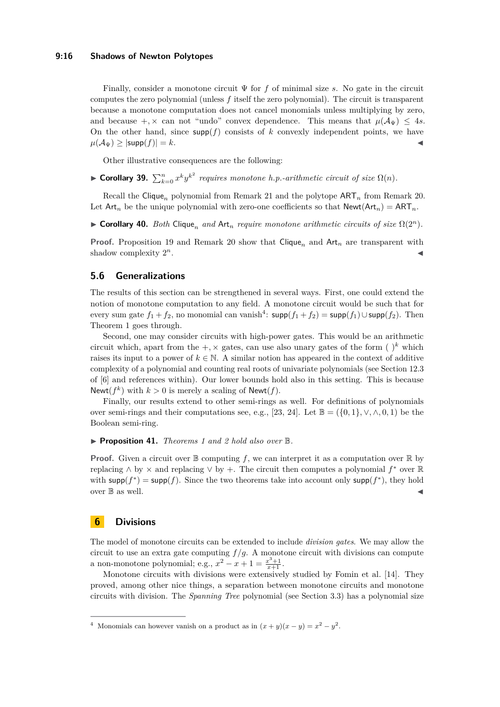#### **9:16 Shadows of Newton Polytopes**

Finally, consider a monotone circuit Ψ for *f* of minimal size *s*. No gate in the circuit computes the zero polynomial (unless *f* itself the zero polynomial). The circuit is transparent because a monotone computation does not cancel monomials unless multiplying by zero, and because  $+$ ,  $\times$  can not "undo" convex dependence. This means that  $\mu(\mathcal{A}_{\Psi}) \leq 4s$ . On the other hand, since  $\text{supp}(f)$  consists of *k* convexly independent points, we have  $\mu(\mathcal{A}_{\Psi})$  >  $|\textsf{supp}(f)| = k$ .

Other illustrative consequences are the following:

▶ **Corollary 39.**  $\sum_{k=0}^{n} x^k y^{k^2}$  requires monotone h.p.-arithmetic circuit of size  $\Omega(n)$ .

Recall the Clique<sub>n</sub> polynomial from Remark [21](#page-9-3) and the polytope  $ART_n$  from Remark [20.](#page-9-2) Let  $Art_n$  be the unique polynomial with zero-one coefficients so that  $Next(n) = ART_n$ .

<span id="page-15-0"></span>▶ **Corollary 40.** *Both* Clique<sub>n</sub> and Art<sub>n</sub> require monotone arithmetic circuits of size  $Ω(2<sup>n</sup>)$ *.* 

**Proof.** Proposition [19](#page-9-4) and Remark [20](#page-9-2) show that  $\text{Clique}_n$  and  $\text{Art}_n$  are transparent with shadow complexity  $2^n$ .  $n$ .

### **5.6 Generalizations**

The results of this section can be strengthened in several ways. First, one could extend the notion of monotone computation to any field. A monotone circuit would be such that for every sum gate  $f_1 + f_2$ , no monomial can vanish<sup>[4](#page-15-1)</sup>:  $\mathsf{supp}(f_1 + f_2) = \mathsf{supp}(f_1) \cup \mathsf{supp}(f_2)$ . Then Theorem [1](#page-1-2) goes through.

Second, one may consider circuits with high-power gates. This would be an arithmetic circuit which, apart from the  $+$ ,  $\times$  gates, can use also unary gates of the form ( $\cdot$ )<sup>k</sup> which raises its input to a power of  $k \in \mathbb{N}$ . A similar notion has appeared in the context of additive complexity of a polynomial and counting real roots of univariate polynomials (see Section 12.3 of [\[6\]](#page-20-5) and references within). Our lower bounds hold also in this setting. This is because Newt( $f^k$ ) with  $k > 0$  is merely a scaling of Newt( $f$ ).

Finally, our results extend to other semi-rings as well. For definitions of polynomials over semi-rings and their computations see, e.g., [\[23,](#page-21-3) [24\]](#page-21-19). Let  $\mathbb{B} = (\{0, 1\}, \vee, \wedge, 0, 1)$  be the Boolean semi-ring.

▶ **Proposition 41.** *Theorems [1](#page-1-2) and [2](#page-1-1) hold also over* B*.*

**Proof.** Given a circuit over  $\mathbb{B}$  computing f, we can interpret it as a computation over  $\mathbb{R}$  by replacing ∧ by × and replacing ∨ by +. The circuit then computes a polynomial *f* <sup>∗</sup> over R with  $\text{supp}(f^*) = \text{supp}(f)$ . Since the two theorems take into account only  $\text{supp}(f^*)$ , they hold over  $\mathbb B$  as well.

### **6 Divisions**

The model of monotone circuits can be extended to include *division gates*. We may allow the circuit to use an extra gate computing  $f/g$ . A monotone circuit with divisions can compute a non-monotone polynomial; e.g.,  $x^2 - x + 1 = \frac{x^3 + 1}{x + 1}$ .

Monotone circuits with divisions were extensively studied by Fomin et al. [\[14\]](#page-21-17). They proved, among other nice things, a separation between monotone circuits and monotone circuits with division. The *Spanning Tree* polynomial (see Section [3.3\)](#page-8-1) has a polynomial size

<span id="page-15-1"></span><sup>&</sup>lt;sup>4</sup> Monomials can however vanish on a product as in  $(x + y)(x - y) = x^2 - y^2$ .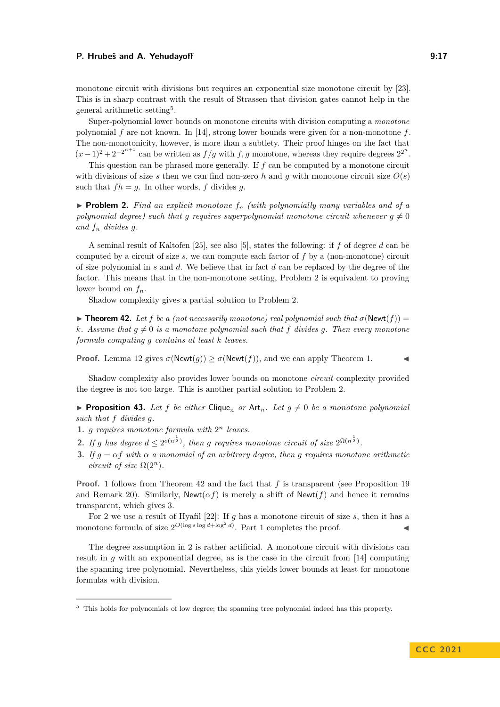#### **P. Hrubeš and A. Yehudayoff 3:28 and A. Strategies 2:37**

monotone circuit with divisions but requires an exponential size monotone circuit by [\[23\]](#page-21-3). This is in sharp contrast with the result of Strassen that division gates cannot help in the general arithmetic setting<sup>[5](#page-16-0)</sup>.

Super-polynomial lower bounds on monotone circuits with division computing a *monotone* polynomial *f* are not known. In [\[14\]](#page-21-17), strong lower bounds were given for a non-monotone *f*. The non-monotonicity, however, is more than a subtlety. Their proof hinges on the fact that  $(x-1)^2 + 2^{-2^{n+1}}$  can be written as  $f/g$  with  $f, g$  monotone, whereas they require degrees  $2^{2^n}$ .

This question can be phrased more generally. If *f* can be computed by a monotone circuit with divisions of size *s* then we can find non-zero *h* and *g* with monotone circuit size  $O(s)$ such that  $fh = g$ . In other words,  $f$  divides  $g$ .

<span id="page-16-1"></span> $\triangleright$  **Problem 2.** *Find an explicit monotone*  $f_n$  *(with polynomially many variables and of a polynomial degree) such that g requires superpolynomial monotone circuit whenever*  $g \neq 0$ *and f<sup>n</sup> divides g.*

A seminal result of Kaltofen [\[25\]](#page-21-21), see also [\[5\]](#page-20-6), states the following: if *f* of degree *d* can be computed by a circuit of size *s*, we can compute each factor of *f* by a (non-monotone) circuit of size polynomial in *s* and *d*. We believe that in fact *d* can be replaced by the degree of the factor. This means that in the non-monotone setting, Problem [2](#page-16-1) is equivalent to proving lower bound on *fn*.

Shadow complexity gives a partial solution to Problem [2.](#page-16-1)

<span id="page-16-3"></span> $\triangleright$  **Theorem 42.** Let f be a (not necessarily monotone) real polynomial such that  $\sigma(\text{Newt}(f)) =$ *k.* Assume that  $q \neq 0$  is a monotone polynomial such that f divides q. Then every monotone *formula computing g contains at least k leaves.*

**Proof.** Lemma [12](#page-6-3) gives  $\sigma(\text{Newt}(g)) \geq \sigma(\text{Newt}(f))$ , and we can apply Theorem [1.](#page-1-2)

Shadow complexity also provides lower bounds on monotone *circuit* complexity provided the degree is not too large. This is another partial solution to Problem [2.](#page-16-1)

<span id="page-16-6"></span>**• Proposition 43.** Let f be either Clique<sub>n</sub> or Art<sub>n</sub>. Let  $g \neq 0$  be a monotone polynomial *such that f divides g.*

- <span id="page-16-2"></span>**1.** *g requires monotone formula with* 2 *<sup>n</sup> leaves.*
- <span id="page-16-5"></span>2. If *g* has degree  $d \leq 2^{o(n^{\frac{1}{2}})}$ , then *g* requires monotone circuit of size  $2^{\Omega(n^{\frac{1}{2}})}$ .
- <span id="page-16-4"></span>**3.** *If*  $g = \alpha f$  *with*  $\alpha$  *a monomial of an arbitrary degree, then g requires monotone arithmetic circuit of size*  $\Omega(2^n)$ *.*

**Proof.** [1](#page-16-2) follows from Theorem [42](#page-16-3) and the fact that *f* is transparent (see Proposition [19](#page-9-4) and Remark [20\)](#page-9-2). Similarly,  $\mathsf{Newt}(\alpha f)$  is merely a shift of  $\mathsf{Newt}(f)$  and hence it remains transparent, which gives [3.](#page-16-4)

For [2](#page-16-5) we use a result of Hyafil [\[22\]](#page-21-22): If *g* has a monotone circuit of size *s*, then it has a monotone formula of size  $2^{O(\log s \log d + \log^2 d)}$ . Part [1](#page-16-2) completes the proof.

The degree assumption in [2](#page-16-5) is rather artificial. A monotone circuit with divisions can result in *q* with an exponential degree, as is the case in the circuit from [\[14\]](#page-21-17) computing the spanning tree polynomial. Nevertheless, this yields lower bounds at least for monotone formulas with division.

<span id="page-16-0"></span><sup>&</sup>lt;sup>5</sup> This holds for polynomials of low degree; the spanning tree polynomial indeed has this property.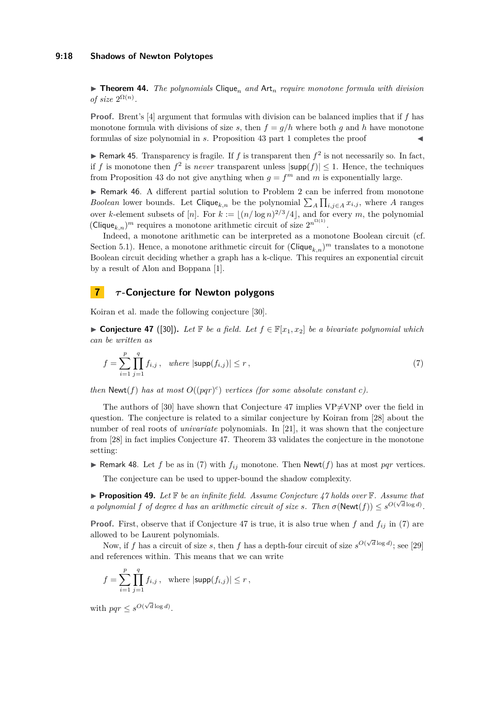#### **9:18 Shadows of Newton Polytopes**

 $\triangleright$  **Theorem 44.** *The polynomials* Clique<sub>n</sub> and Art<sub>n</sub> require monotone formula with division *of size*  $2^{\Omega(n)}$ *.* 

**Proof.** Brent's [\[4\]](#page-20-7) argument that formulas with division can be balanced implies that if *f* has monotone formula with divisions of size *s*, then  $f = g/h$  where both *g* and *h* have monotone formulas of size polynomial in *s*. Proposition [43](#page-16-6) part [1](#page-16-2) completes the proof

 $\blacktriangleright$  Remark 45. Transparency is fragile. If *f* is transparent then  $f^2$  is not necessarily so. In fact, if *f* is monotone then  $f^2$  is *never* transparent unless  $|\textsf{supp}(f)| \leq 1$ . Hence, the techniques from Proposition [43](#page-16-6) do not give anything when  $g = f^m$  and m is exponentially large.

▶ Remark 46. A different partial solution to Problem [2](#page-16-1) can be inferred from monotone *Boolean* lower bounds. Let Clique<sub>k,n</sub> be the polynomial  $\sum_{A} \prod_{i,j \in A} x_{i,j}$ , where *A* ranges over *k*-element subsets of [*n*]. For  $k := \lfloor (n/\log n)^{2/3}/4 \rfloor$ , and for every *m*, the polynomial  $(\text{Clique}_{k,n})^m$  requires a monotone arithmetic circuit of size  $2^{n^{\Omega(1)}}$ .

Indeed, a monotone arithmetic can be interpreted as a monotone Boolean circuit (cf. Section [5.1\)](#page-12-2). Hence, a monotone arithmetic circuit for  $(\text{Clique}_{k,n})^m$  translates to a monotone Boolean circuit deciding whether a graph has a k-clique. This requires an exponential circuit by a result of Alon and Boppana [\[1\]](#page-20-8).

# **7** *τ* **-Conjecture for Newton polygons**

<span id="page-17-0"></span>Koiran et al. made the following conjecture [\[30\]](#page-21-2).

▶ **Conjecture 47** ([\[30\]](#page-21-2)). Let **F** be a field. Let  $f \in \mathbb{F}[x_1, x_2]$  be a bivariate polynomial which *can be written as*

<span id="page-17-1"></span>
$$
f = \sum_{i=1}^{p} \prod_{j=1}^{q} f_{i,j}, \text{ where } |\text{supp}(f_{i,j})| \le r,
$$
 (7)

*then*  $\text{Newt}(f)$  *has at most*  $O((pqr)^c)$  *vertices (for some absolute constant c).* 

The authors of [\[30\]](#page-21-2) have shown that Conjecture [47](#page-17-0) implies  $VP\neq VNP$  over the field in question. The conjecture is related to a similar conjecture by Koiran from [\[28\]](#page-21-23) about the number of real roots of *univariate* polynomials. In [\[21\]](#page-21-24), it was shown that the conjecture from [\[28\]](#page-21-23) in fact implies Conjecture [47.](#page-17-0) Theorem [33](#page-13-2) validates the conjecture in the monotone setting:

 $\triangleright$  Remark 48. Let *f* be as in [\(7\)](#page-17-1) with  $f_{ij}$  monotone. Then Newt(*f*) has at most *pqr* vertices.

The conjecture can be used to upper-bound the shadow complexity.

▶ **Proposition 49.** Let **F** be an infinite field. Assume Conjecture [47](#page-17-0) holds over **F**. Assume that *a polynomial*  $f$  *of degree*  $d$  *has an arithmetic circuit of size*  $s$ *. Then*  $\sigma(\text{Newt}(f)) \leq s^{O(\sqrt{d} \log d)}$ *.* 

**Proof.** First, observe that if Conjecture [47](#page-17-0) is true, it is also true when  $f$  and  $f_{ij}$  in [\(7\)](#page-17-1) are allowed to be Laurent polynomials.

Now, if *f* has a circuit of size *s*, then *f* has a depth-four circuit of size  $s^{O(\sqrt{d}\log d)}$ ; see [\[29\]](#page-21-25) and references within. This means that we can write

$$
f = \sum_{i=1}^p \prod_{j=1}^q f_{i,j}, \text{ where } |\text{supp}(f_{i,j})| \le r,
$$

with  $pqr \leq s^{O(\sqrt{d}\log d)}$ .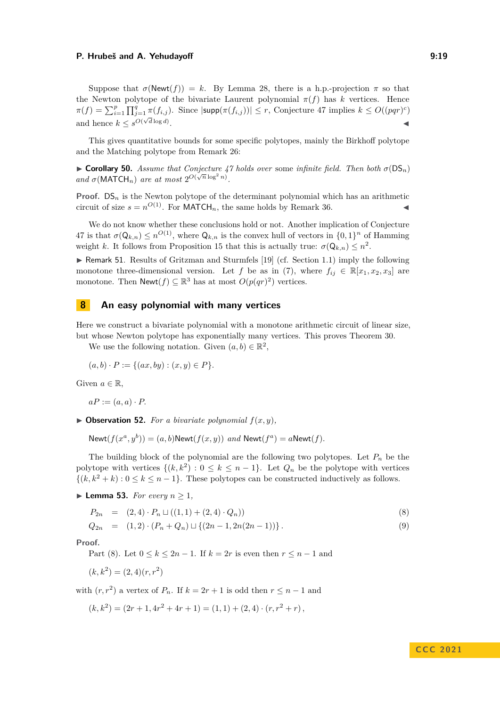Suppose that  $\sigma(\text{Newt}(f)) = k$ . By Lemma [28,](#page-11-0) there is a h.p.-projection  $\pi$  so that the Newton polytope of the bivariate Laurent polynomial  $\pi(f)$  has *k* vertices. Hence  $\pi(f) = \sum_{i=1}^p \prod_{j=1}^q \pi(f_{i,j}).$  Since  $|\textsf{supp}(\pi(f_{i,j}))| \leq r$ , Conjecture [47](#page-17-0) implies  $k \leq O((pqr)^c)$ and hence  $k \leq s^{O(\sqrt{d} \log d)}$ . ◀

This gives quantitative bounds for some specific polytopes, mainly the Birkhoff polytope and the Matching polytope from Remark [26:](#page-10-2)

▶ **Corollary 50.** *Assume that Conjecture* [47](#page-17-0) *holds over* some *infinite field. Then both*  $\sigma$ (DS<sub>*n*</sub>) *and*  $\sigma$ (MATCH<sub>n</sub>) are at most  $2^{O(\sqrt{n}\log^2 n)}$ .

**Proof.**  $DS_n$  is the Newton polytope of the determinant polynomial which has an arithmetic circuit of size  $s = n^{O(1)}$ . For MATCH<sub>n</sub>, the same holds by Remark [36.](#page-13-3)

We do not know whether these conclusions hold or not. Another implication of Conjecture [47](#page-17-0) is that  $\sigma(Q_{k,n}) \leq n^{O(1)}$ , where  $Q_{k,n}$  is the convex hull of vectors in  $\{0,1\}^n$  of Hamming weight *k*. It follows from Proposition [15](#page-7-1) that this is actually true:  $\sigma(Q_{k,n}) \leq n^2$ .

<span id="page-18-0"></span>▶ Remark 51. Results of Gritzman and Sturmfels [\[19\]](#page-21-11) (cf. Section [1.1\)](#page-3-1) imply the following monotone three-dimensional version. Let *f* be as in [\(7\)](#page-17-1), where  $f_{ij} \in \mathbb{R}[x_1, x_2, x_3]$  are monotone. Then  $\mathsf{Newt}(f) \subseteq \mathbb{R}^3$  has at most  $O(p(qr)^2)$  vertices.

### <span id="page-18-1"></span>**8 An easy polynomial with many vertices**

Here we construct a bivariate polynomial with a monotone arithmetic circuit of linear size, but whose Newton polytope has exponentially many vertices. This proves Theorem [30.](#page-12-1)

We use the following notation. Given  $(a, b) \in \mathbb{R}^2$ ,

$$
(a, b) \cdot P := \{ (ax, by) : (x, y) \in P \}.
$$

Given  $a \in \mathbb{R}$ ,

 $aP := (a, a) \cdot P$ .

<span id="page-18-3"></span> $\triangleright$  **Observation 52.** *For a bivariate polynomial*  $f(x, y)$ *,* 

Newt $(f(x^a, y^b)) = (a, b)$ Newt $(f(x, y))$  *and* Newt $(f^a) = a$ Newt $(f)$ .

The building block of the polynomial are the following two polytopes. Let  $P_n$  be the polytope with vertices  $\{(k, k^2) : 0 \leq k \leq n-1\}$ . Let  $Q_n$  be the polytope with vertices  $\{(k, k^2 + k) : 0 \le k \le n - 1\}$ . These polytopes can be constructed inductively as follows.

▶ **Lemma 53.** *For every*  $n \geq 1$ *,* 

<span id="page-18-2"></span>
$$
P_{2n} = (2,4) \cdot P_n \sqcup ((1,1) + (2,4) \cdot Q_n)) \tag{8}
$$

$$
Q_{2n} = (1,2) \cdot (P_n + Q_n) \sqcup \{(2n-1, 2n(2n-1))\}.
$$
\n(9)

**Proof.**

Part [\(8\)](#page-18-2). Let  $0 \leq k \leq 2n - 1$ . If  $k = 2r$  is even then  $r \leq n - 1$  and

 $(k, k^2) = (2, 4)(r, r^2)$ 

with  $(r, r^2)$  a vertex of  $P_n$ . If  $k = 2r + 1$  is odd then  $r \leq n - 1$  and

 $(k, k^2) = (2r + 1, 4r^2 + 4r + 1) = (1, 1) + (2, 4) \cdot (r, r^2 + r)$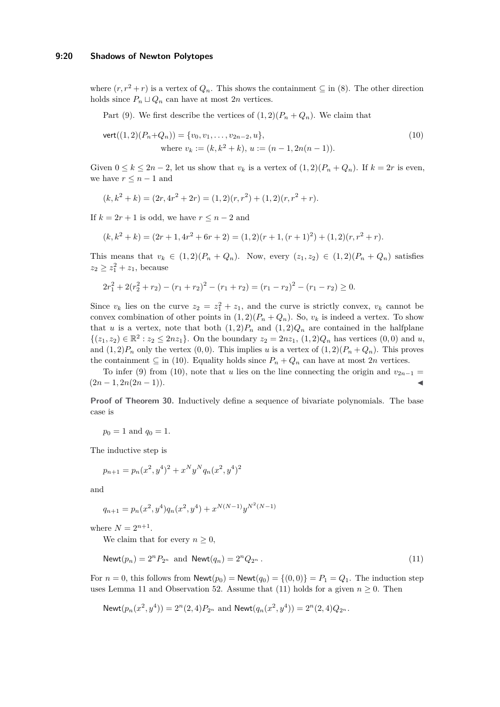### **9:20 Shadows of Newton Polytopes**

where  $(r, r^2 + r)$  is a vertex of  $Q_n$ . This shows the containment  $\subseteq$  in [\(8\)](#page-18-2). The other direction holds since  $P_n \sqcup Q_n$  can have at most 2*n* vertices.

Part [\(9\)](#page-18-2). We first describe the vertices of  $(1, 2)(P_n + Q_n)$ . We claim that

<span id="page-19-0"></span>
$$
\text{vert}((1,2)(P_n+Q_n)) = \{v_0, v_1, \dots, v_{2n-2}, u\},\
$$
  
where  $v_k := (k, k^2 + k), u := (n-1, 2n(n-1)).$  (10)

Given  $0 \leq k \leq 2n-2$ , let us show that  $v_k$  is a vertex of  $(1,2)(P_n+Q_n)$ . If  $k=2r$  is even, we have  $r \leq n-1$  and

$$
(k, k2 + k) = (2r, 4r2 + 2r) = (1, 2)(r, r2) + (1, 2)(r, r2 + r).
$$

If  $k = 2r + 1$  is odd, we have  $r \leq n - 2$  and

$$
(k, k2 + k) = (2r + 1, 4r2 + 6r + 2) = (1, 2)(r + 1, (r + 1)2) + (1, 2)(r, r2 + r).
$$

This means that  $v_k \in (1,2)(P_n+Q_n)$ . Now, every  $(z_1, z_2) \in (1,2)(P_n+Q_n)$  satisfies  $z_2 \geq z_1^2 + z_1$ , because

$$
2r_1^2 + 2(r_2^2 + r_2) - (r_1 + r_2)^2 - (r_1 + r_2) = (r_1 - r_2)^2 - (r_1 - r_2) \ge 0.
$$

Since  $v_k$  lies on the curve  $z_2 = z_1^2 + z_1$ , and the curve is strictly convex,  $v_k$  cannot be convex combination of other points in  $(1, 2)(P_n + Q_n)$ . So,  $v_k$  is indeed a vertex. To show that *u* is a vertex, note that both  $(1,2)P_n$  and  $(1,2)Q_n$  are contained in the halfplane  $\{(z_1, z_2) \in \mathbb{R}^2 : z_2 \le 2nz_1\}$ . On the boundary  $z_2 = 2nz_1$ ,  $(1, 2)Q_n$  has vertices  $(0, 0)$  and *u*, and  $(1, 2)P_n$  only the vertex  $(0, 0)$ . This implies *u* is a vertex of  $(1, 2)(P_n + Q_n)$ . This proves the containment  $\subseteq$  in [\(10\)](#page-19-0). Equality holds since  $P_n + Q_n$  can have at most 2*n* vertices.

To infer [\(9\)](#page-18-2) from [\(10\)](#page-19-0), note that *u* lies on the line connecting the origin and  $v_{2n-1} =$  $(2n-1, 2n(2n-1)).$ 

**Proof of Theorem [30.](#page-12-1)** Inductively define a sequence of bivariate polynomials. The base case is

 $p_0 = 1$  and  $q_0 = 1$ .

The inductive step is

$$
p_{n+1} = p_n(x^2, y^4)^2 + x^N y^N q_n(x^2, y^4)^2
$$

and

$$
q_{n+1} = p_n(x^2, y^4) q_n(x^2, y^4) + x^{N(N-1)} y^{N^2(N-1)}
$$

where  $N = 2^{n+1}$ .

<span id="page-19-1"></span>We claim that for every  $n \geq 0$ ,

$$
\text{Newt}(p_n) = 2^n P_{2^n} \text{ and } \text{Newt}(q_n) = 2^n Q_{2^n}. \tag{11}
$$

For  $n = 0$ , this follows from  $\mathsf{Newt}(p_0) = \mathsf{Newt}(q_0) = \{(0,0)\} = P_1 = Q_1$ . The induction step uses Lemma [11](#page-6-2) and Observation [52.](#page-18-3) Assume that [\(11\)](#page-19-1) holds for a given  $n \geq 0$ . Then

$$
\text{Newt}(p_n(x^2, y^4)) = 2^n(2, 4)P_{2^n} \text{ and } \text{Newt}(q_n(x^2, y^4)) = 2^n(2, 4)Q_{2^n}.
$$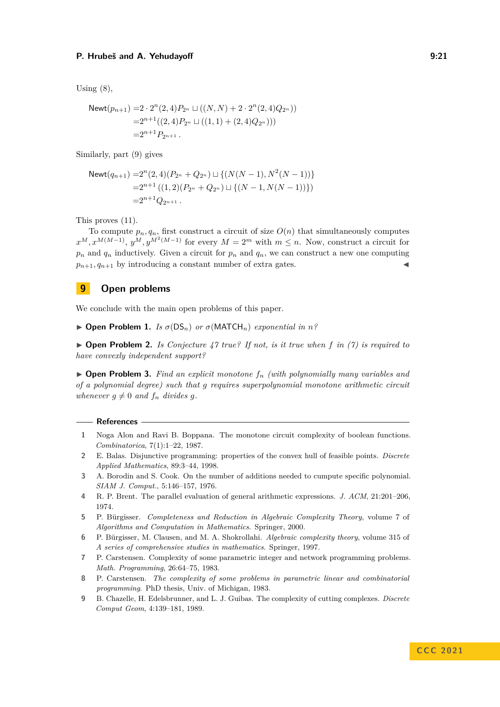Using  $(8)$ ,

$$
\begin{aligned} \text{Newt}(p_{n+1}) = &2 \cdot 2^n(2,4) P_{2^n} \sqcup \big( (N,N) + 2 \cdot 2^n(2,4) Q_{2^n} \big) \big) \\ = &2^{n+1} \big( (2,4) P_{2^n} \sqcup \big( (1,1) + (2,4) Q_{2^n} \big) \big) \big) \\ = &2^{n+1} P_{2^{n+1}} \,. \end{aligned}
$$

Similarly, part [\(9\)](#page-18-2) gives

$$
\begin{aligned} \text{Newt}(q_{n+1}) = & 2^n(2,4)(P_{2^n} + Q_{2^n}) \sqcup \{ (N(N-1), N^2(N-1)) \} \\ & = & 2^{n+1} \left( (1,2)(P_{2^n} + Q_{2^n}) \sqcup \{ (N-1, N(N-1)) \} \right) \\ & = & 2^{n+1} Q_{2^{n+1}} \,. \end{aligned}
$$

This proves [\(11\)](#page-19-1).

To compute  $p_n, q_n$ , first construct a circuit of size  $O(n)$  that simultaneously computes  $x^M, x^{M(M-1)}, y^M, y^{M^2(M-1)}$  for every  $M = 2^m$  with  $m \leq n$ . Now, construct a circuit for  $p_n$  and  $q_n$  inductively. Given a circuit for  $p_n$  and  $q_n$ , we can construct a new one computing  $p_{n+1}, q_{n+1}$  by introducing a constant number of extra gates.

# **9 Open problems**

We conclude with the main open problems of this paper.

 $\triangleright$  **Open Problem 1.** *Is*  $\sigma$ (DS<sub>n</sub>) *or*  $\sigma$ (MATCH<sub>n</sub>) *exponential in n*?

▶ **Open Problem 2.** *Is Conjecture [47](#page-17-0) true? If not, is it true when f in [\(7\)](#page-17-1) is required to have convexly independent support?*

▶ **Open Problem 3.** *Find an explicit monotone f<sup>n</sup> (with polynomially many variables and of a polynomial degree) such that g requires superpolynomial monotone arithmetic circuit whenever*  $g \neq 0$  *and*  $f_n$  *divides*  $g$ *.* 

#### **References**

- <span id="page-20-8"></span>**1** Noga Alon and Ravi B. Boppana. The monotone circuit complexity of boolean functions. *Combinatorica*, 7(1):1–22, 1987.
- <span id="page-20-3"></span>**2** E. Balas. Disjunctive programming: properties of the convex hull of feasible points. *Discrete Applied Mathematics*, 89:3–44, 1998.
- <span id="page-20-4"></span>**3** A. Borodin and S. Cook. On the number of additions needed to cumpute specific polynomial. *SIAM J. Comput.*, 5:146–157, 1976.
- <span id="page-20-7"></span>**4** R. P. Brent. The parallel evaluation of general arithmetic expressions. *J. ACM*, 21:201–206, 1974.
- <span id="page-20-6"></span>**5** P. Bürgisser. *Completeness and Reduction in Algebraic Complexity Theory*, volume 7 of *Algorithms and Computation in Mathematics*. Springer, 2000.
- <span id="page-20-5"></span>**6** P. Bürgisser, M. Clausen, and M. A. Shokrollahi. *Algebraic complexity theory*, volume 315 of *A series of comprehensive studies in mathematics*. Springer, 1997.
- <span id="page-20-1"></span>**7** P. Carstensen. Complexity of some parametric integer and network programming problems. *Math. Programming*, 26:64–75, 1983.
- <span id="page-20-2"></span>**8** P. Carstensen. *The complexity of some problems in parametric linear and combinatorial programming*. PhD thesis, Univ. of Michigan, 1983.
- <span id="page-20-0"></span>**9** B. Chazelle, H. Edelsbrunner, and L. J. Guibas. The complexity of cutting complexes. *Discrete Comput Geom*, 4:139–181, 1989.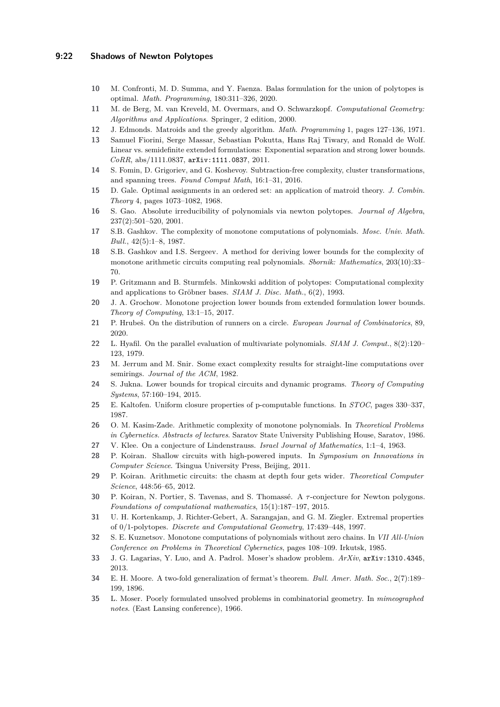### **9:22 Shadows of Newton Polytopes**

- <span id="page-21-20"></span>**10** M. Confronti, M. D. Summa, and Y. Faenza. Balas formulation for the union of polytopes is optimal. *Math. Programming*, 180:311–326, 2020.
- <span id="page-21-13"></span>**11** M. de Berg, M. van Kreveld, M. Overmars, and O. Schwarzkopf. *Computational Geometry: Algorithms and Applications*. Springer, 2 edition, 2000.
- <span id="page-21-8"></span>**12** J. Edmonds. Matroids and the greedy algorithm. *Math. Programming* 1, pages 127–136, 1971.
- <span id="page-21-12"></span>**13** Samuel Fiorini, Serge Massar, Sebastian Pokutta, Hans Raj Tiwary, and Ronald de Wolf. Linear vs. semidefinite extended formulations: Exponential separation and strong lower bounds. *CoRR*, abs/1111.0837, [arXiv:1111.0837](https://arxiv.org/abs/1111.0837), 2011.
- <span id="page-21-17"></span>**14** S. Fomin, D. Grigoriev, and G. Koshevoy. Subtraction-free complexity, cluster transformations, and spanning trees. *Found Comput Math*, 16:1–31, 2016.
- <span id="page-21-9"></span>**15** D. Gale. Optimal assignments in an ordered set: an application of matroid theory. *J. Combin. Theory* 4, pages 1073–1082, 1968.
- <span id="page-21-14"></span>**16** S. Gao. Absolute irreducibility of polynomials via newton polytopes. *Journal of Algebra*, 237(2):501–520, 2001.
- <span id="page-21-6"></span>**17** S.B. Gashkov. The complexity of monotone computations of polynomials. *Mosc. Univ. Math. Bull.*, 42(5):1–8, 1987.
- <span id="page-21-7"></span>**18** S.B. Gashkov and I.S. Sergeev. A method for deriving lower bounds for the complexity of monotone arithmetic circuits computing real polynomials. *Sbornik: Mathematics*, 203(10):33– 70.
- <span id="page-21-11"></span>**19** P. Gritzmann and B. Sturmfels. Minkowski addition of polytopes: Computational complexity and applications to Gröbner bases. *SIAM J. Disc. Math.*, 6(2), 1993.
- <span id="page-21-18"></span>**20** J. A. Grochow. Monotone projection lower bounds from extended formulation lower bounds. *Theory of Computing*, 13:1–15, 2017.
- <span id="page-21-24"></span>**21** P. Hrubeš. On the distribution of runners on a circle. *European Journal of Combinatorics*, 89, 2020.
- <span id="page-21-22"></span>**22** L. Hyafil. On the parallel evaluation of multivariate polynomials. *SIAM J. Comput.*, 8(2):120– 123, 1979.
- <span id="page-21-3"></span>**23** M. Jerrum and M. Snir. Some exact complexity results for straight-line computations over semirings. *Journal of the ACM*, 1982.
- <span id="page-21-19"></span>**24** S. Jukna. Lower bounds for tropical circuits and dynamic programs. *Theory of Computing Systems*, 57:160–194, 2015.
- <span id="page-21-21"></span>**25** E. Kaltofen. Uniform closure properties of p-computable functions. In *STOC*, pages 330–337, 1987.
- <span id="page-21-4"></span>**26** O. M. Kasim-Zade. Arithmetic complexity of monotone polynomials. In *Theoretical Problems in Cybernetics. Abstracts of lectures*. Saratov State University Publishing House, Saratov, 1986.
- <span id="page-21-15"></span>**27** V. Klee. On a conjecture of Lindenstrauss. *Israel Journal of Mathematics*, 1:1–4, 1963.
- <span id="page-21-23"></span>**28** P. Koiran. Shallow circuits with high-powered inputs. In *Symposium on Innovations in Computer Science*. Tsingua University Press, Beijing, 2011.
- <span id="page-21-25"></span>**29** P. Koiran. Arithmetic circuits: the chasm at depth four gets wider. *Theoretical Computer Science*, 448:56–65, 2012.
- <span id="page-21-2"></span>**30** P. Koiran, N. Portier, S. Tavenas, and S. Thomassé. A *τ* -conjecture for Newton polygons. *Foundations of computational mathematics*, 15(1):187–197, 2015.
- <span id="page-21-10"></span>**31** U. H. Kortenkamp, J. Richter-Gebert, A. Sarangajan, and G. M. Ziegler. Extremal properties of 0/1-polytopes. *Discrete and Computational Geometry*, 17:439–448, 1997.
- <span id="page-21-5"></span>**32** S. E. Kuznetsov. Monotone computations of polynomials without zero chains. In *VII All-Union Conference on Problems in Theoretical Cybernetics*, pages 108–109. Irkutsk, 1985.
- <span id="page-21-1"></span>**33** J. G. Lagarias, Y. Luo, and A. Padrol. Moser's shadow problem. *ArXiv*, [arXiv:1310.4345](https://arxiv.org/abs/1310.4345), 2013.
- <span id="page-21-16"></span>**34** E. H. Moore. A two-fold generalization of fermat's theorem. *Bull. Amer. Math. Soc.*, 2(7):189– 199, 1896.
- <span id="page-21-0"></span>**35** L. Moser. Poorly formulated unsolved problems in combinatorial geometry. In *mimeographed notes*. (East Lansing conference), 1966.